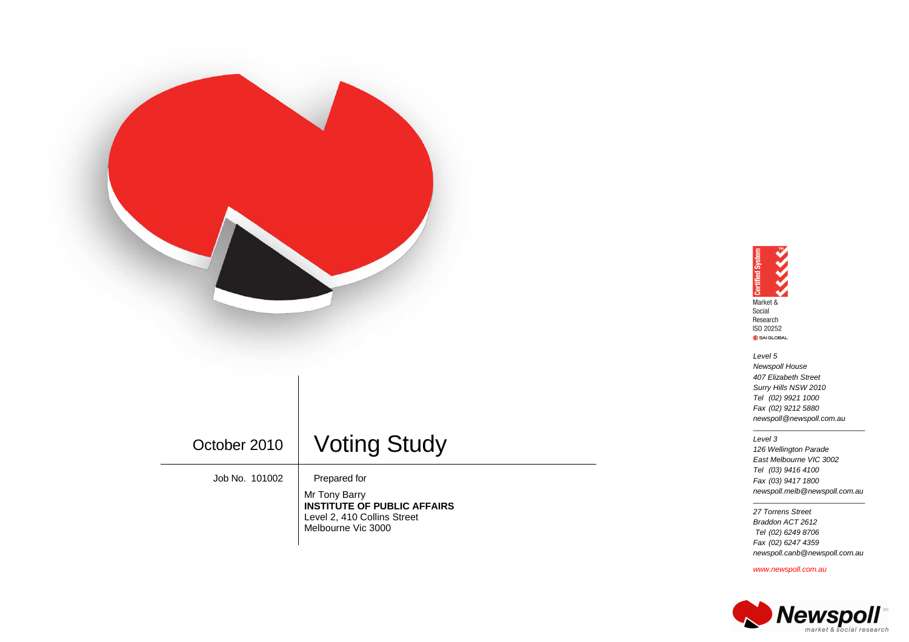

# October 2010 | Voting Study

Job No. 101002 | Prepared for

Mr Tony Barry **INSTITUTE OF PUBLIC AFFAIRS** Level 2, 410 Collins Street Melbourne Vic 3000

## **SSSSSS Certified System** Market & Social Research ISO 20252 SAI GLOBAL

 Level 5 Newspoll House 407 Elizabeth Street Surry Hills NSW 2010 Tel (02) 9921 1000 Fax (02) 9212 5880 newspoll@newspoll.com.au

#### Level 3

 126 Wellington Parade East Melbourne VIC 3002 Tel (03) 9416 4100 Fax (03) 9417 1800 newspoll.melb@newspoll.com.au

\_\_\_\_\_\_\_\_\_\_\_\_\_\_\_\_\_\_\_\_\_\_\_\_\_\_\_

 27 Torrens Street Braddon ACT 2612 Tel (02) 6249 8706 Fax (02) 6247 4359 newspoll.canb@newspoll.com.au

\_\_\_\_\_\_\_\_\_\_\_\_\_\_\_\_\_\_\_\_\_\_\_\_\_\_\_

www.newspoll.com.au

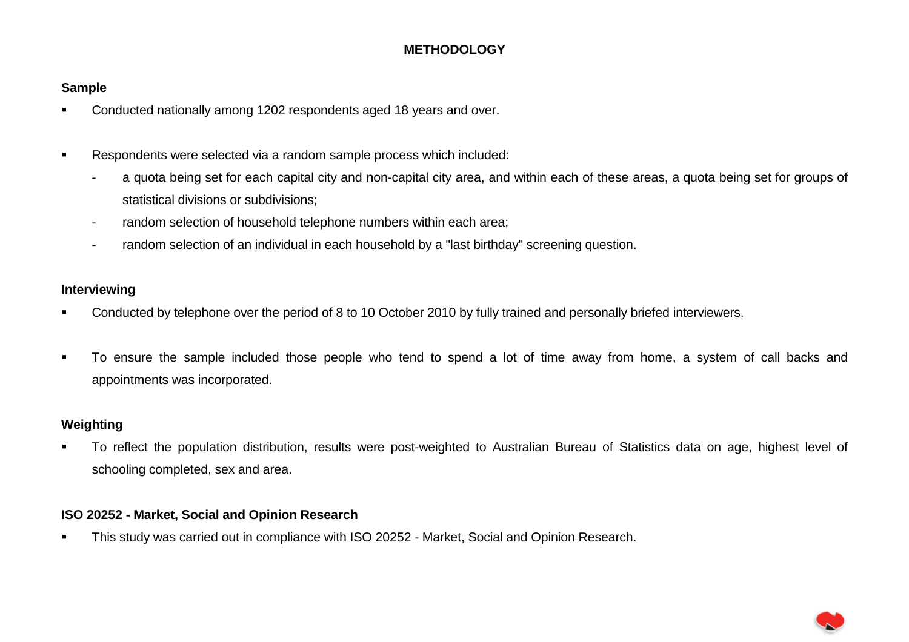# **METHODOLOGY**

# **Sample**

- **Conducted nationally among 1202 respondents aged 18 years and over.**
- **Respondents were selected via a random sample process which included:** 
	- a quota being set for each capital city and non-capital city area, and within each of these areas, a quota being set for groups of statistical divisions or subdivisions;
	- random selection of household telephone numbers within each area;
	- random selection of an individual in each household by a "last birthday" screening question.

# **Interviewing**

- **Conducted by telephone over the period of 8 to 10 October 2010 by fully trained and personally briefed interviewers.**
- To ensure the sample included those people who tend to spend a lot of time away from home, a system of call backs and appointments was incorporated.

# **Weighting**

 To reflect the population distribution, results were post-weighted to Australian Bureau of Statistics data on age, highest level of schooling completed, sex and area.

# **ISO 20252 - Market, Social and Opinion Research**

**This study was carried out in compliance with ISO 20252 - Market, Social and Opinion Research.**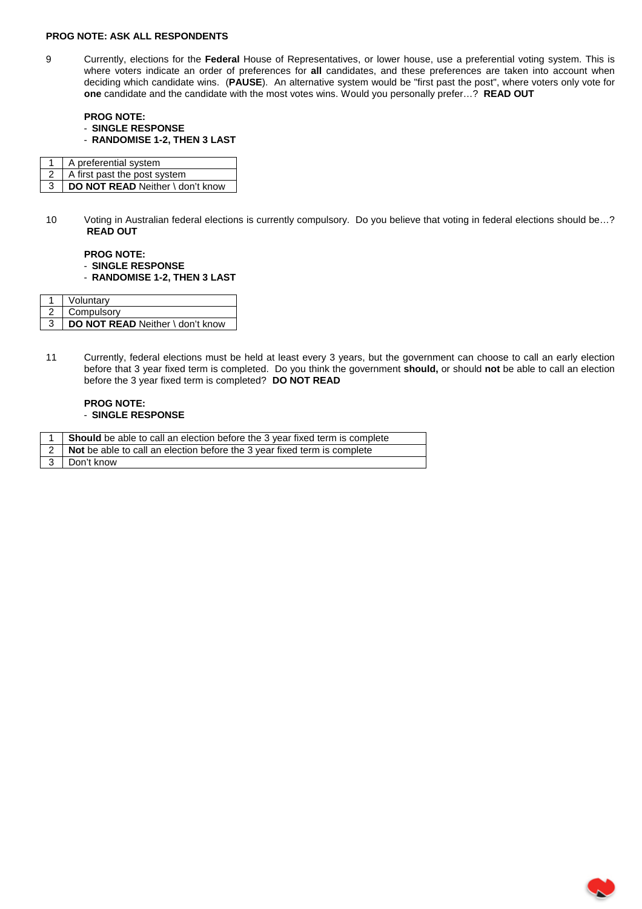### **PROG NOTE: ASK ALL RESPONDENTS**

9 Currently, elections for the **Federal** House of Representatives, or lower house, use a preferential voting system. This is where voters indicate an order of preferences for all candidates, and these preferences are taken into account when deciding which candidate wins. (**PAUSE**). An alternative system would be "first past the post", where voters only vote for **one** candidate and the candidate with the most votes wins. Would you personally prefer…? **READ OUT**

**PROG NOTE:**  - **SINGLE RESPONSE**  - **RANDOMISE 1-2, THEN 3 LAST** 

| A preferential system            |
|----------------------------------|
| A first past the post system     |
| DO NOT READ Neither \ don't know |

10 Voting in Australian federal elections is currently compulsory. Do you believe that voting in federal elections should be…? **READ OUT**

### **PROG NOTE:**  - **SINGLE RESPONSE**  - **RANDOMISE 1-2, THEN 3 LAST**

| Voluntarv                        |
|----------------------------------|
| Compulsory                       |
| DO NOT READ Neither \ don't know |

11 Currently, federal elections must be held at least every 3 years, but the government can choose to call an early election before that 3 year fixed term is completed. Do you think the government **should,** or should **not** be able to call an election before the 3 year fixed term is completed? **DO NOT READ**

### **PROG NOTE:**  - **SINGLE RESPONSE**

| Should be able to call an election before the 3 year fixed term is complete  |
|------------------------------------------------------------------------------|
| 2   Not be able to call an election before the 3 year fixed term is complete |
| 3 Don't know                                                                 |

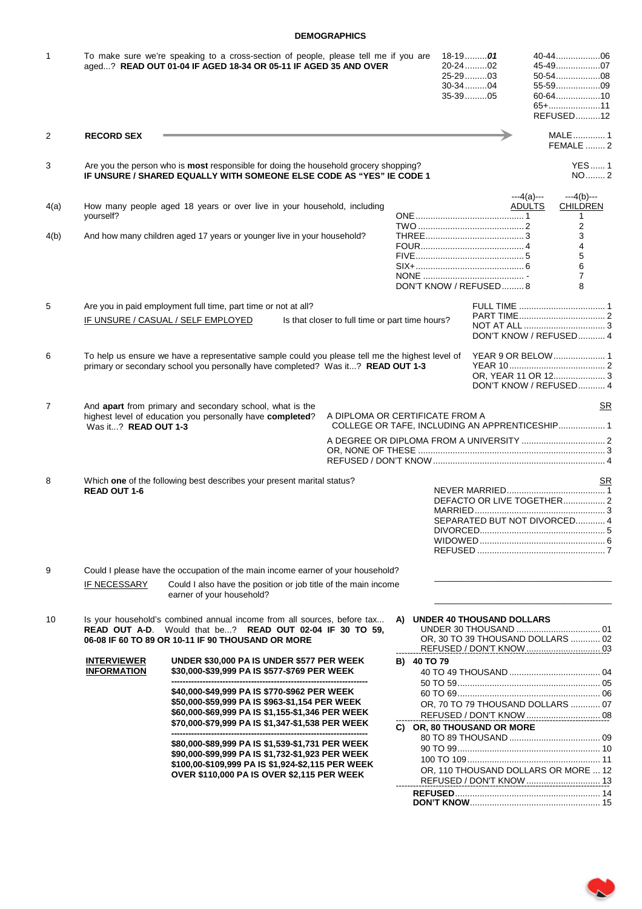### **DEMOGRAPHICS**

| 1              |                                          | To make sure we're speaking to a cross-section of people, please tell me if you are<br>aged? READ OUT 01-04 IF AGED 18-34 OR 05-11 IF AGED 35 AND OVER                             |                                                 |             | 18-1901<br>20-24 02<br>25-2903<br>30-3404<br>35-3905              |                              | 40-4406<br>45-4907<br>50-5408<br>55-5909<br>60-6410<br>65+11<br>REFUSED12 |
|----------------|------------------------------------------|------------------------------------------------------------------------------------------------------------------------------------------------------------------------------------|-------------------------------------------------|-------------|-------------------------------------------------------------------|------------------------------|---------------------------------------------------------------------------|
| 2              | <b>RECORD SEX</b>                        |                                                                                                                                                                                    |                                                 |             |                                                                   |                              | MALE 1<br><b>FEMALE</b> 2                                                 |
| 3              |                                          | Are you the person who is <b>most</b> responsible for doing the household grocery shopping?<br>IF UNSURE / SHARED EQUALLY WITH SOMEONE ELSE CODE AS "YES" IE CODE 1                |                                                 |             |                                                                   |                              | <b>YES1</b><br>NO2                                                        |
| 4(a)           | yourself?                                | How many people aged 18 years or over live in your household, including                                                                                                            |                                                 |             |                                                                   | $-4(a)$ ---<br><b>ADULTS</b> | $-4(b)$ ---<br><b>CHILDREN</b><br>1<br>2                                  |
| 4(b)           |                                          | And how many children aged 17 years or younger live in your household?                                                                                                             |                                                 |             | DON'T KNOW / REFUSED8                                             |                              | 3<br>4<br>5<br>6<br>7<br>8                                                |
| 5              |                                          | Are you in paid employment full time, part time or not at all?                                                                                                                     |                                                 |             |                                                                   |                              |                                                                           |
|                |                                          | IF UNSURE / CASUAL / SELF EMPLOYED                                                                                                                                                 | Is that closer to full time or part time hours? |             |                                                                   |                              | DON'T KNOW / REFUSED 4                                                    |
| 6              |                                          | To help us ensure we have a representative sample could you please tell me the highest level of<br>primary or secondary school you personally have completed? Was it? READ OUT 1-3 |                                                 |             |                                                                   |                              | DON'T KNOW / REFUSED 4                                                    |
| $\overline{7}$ | Was it? READ OUT 1-3                     | And apart from primary and secondary school, what is the<br>highest level of education you personally have completed?                                                              | A DIPLOMA OR CERTIFICATE FROM A                 |             |                                                                   |                              | SR.                                                                       |
|                |                                          |                                                                                                                                                                                    |                                                 |             |                                                                   |                              |                                                                           |
| 8              | <b>READ OUT 1-6</b>                      | Which one of the following best describes your present marital status?                                                                                                             |                                                 |             | SEPARATED BUT NOT DIVORCED 4                                      |                              | SR<br>DEFACTO OR LIVE TOGETHER 2                                          |
| 9              |                                          | Could I please have the occupation of the main income earner of your household?                                                                                                    |                                                 |             |                                                                   |                              |                                                                           |
|                | IF NECESSARY                             | Could I also have the position or job title of the main income<br>earner of your household?                                                                                        |                                                 |             |                                                                   |                              |                                                                           |
| 10             | READ OUT A-D.                            | Is your household's combined annual income from all sources, before tax<br>Would that be? READ OUT 02-04 IF 30 TO 59,<br>06-08 IF 60 TO 89 OR 10-11 IF 90 THOUSAND OR MORE         |                                                 |             | A) UNDER 40 THOUSAND DOLLARS<br>OR, 30 TO 39 THOUSAND DOLLARS  02 |                              |                                                                           |
|                | <b>INTERVIEWER</b><br><b>INFORMATION</b> | UNDER \$30,000 PA IS UNDER \$577 PER WEEK<br>\$30,000-\$39,999 PA IS \$577-\$769 PER WEEK                                                                                          |                                                 | B) 40 TO 79 |                                                                   |                              |                                                                           |
|                |                                          | \$40,000-\$49,999 PA IS \$770-\$962 PER WEEK                                                                                                                                       |                                                 |             |                                                                   |                              |                                                                           |
|                |                                          | \$50,000-\$59,999 PA IS \$963-\$1,154 PER WEEK<br>\$60,000-\$69,999 PA IS \$1,155-\$1,346 PER WEEK                                                                                 |                                                 |             | OR, 70 TO 79 THOUSAND DOLLARS  07                                 |                              |                                                                           |
|                |                                          | \$70,000-\$79,999 PA IS \$1,347-\$1,538 PER WEEK                                                                                                                                   |                                                 |             | C) OR, 80 THOUSAND OR MORE                                        |                              |                                                                           |
|                |                                          | \$80,000-\$89,999 PA IS \$1,539-\$1,731 PER WEEK                                                                                                                                   |                                                 |             |                                                                   |                              |                                                                           |
|                |                                          | \$90,000-\$99,999 PA IS \$1,732-\$1,923 PER WEEK                                                                                                                                   |                                                 |             |                                                                   |                              |                                                                           |
|                |                                          | \$100,00-\$109,999 PA IS \$1,924-\$2,115 PER WEEK                                                                                                                                  |                                                 |             | OR, 110 THOUSAND DOLLARS OR MORE  12                              |                              |                                                                           |
|                |                                          | OVER \$110,000 PA IS OVER \$2,115 PER WEEK                                                                                                                                         |                                                 |             | REFUSED / DON'T KNOW  13                                          |                              |                                                                           |
|                |                                          |                                                                                                                                                                                    |                                                 |             |                                                                   |                              |                                                                           |
|                |                                          |                                                                                                                                                                                    |                                                 |             |                                                                   |                              |                                                                           |

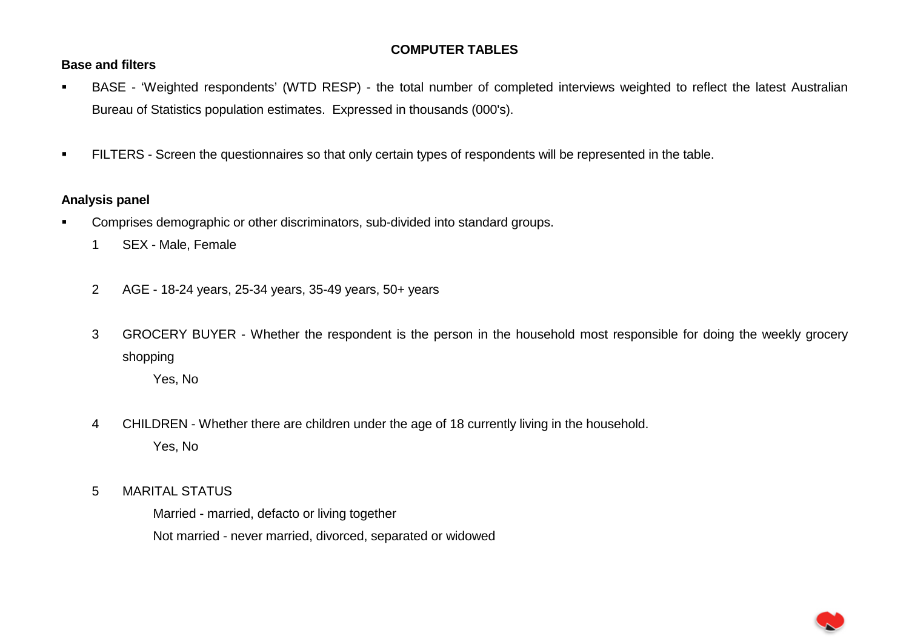# **COMPUTER TABLES**

# **Base and filters**

- BASE 'Weighted respondents' (WTD RESP) the total number of completed interviews weighted to reflect the latest Australian Bureau of Statistics population estimates. Expressed in thousands (000's).
- **FILTERS** Screen the questionnaires so that only certain types of respondents will be represented in the table.

# **Analysis panel**

- Comprises demographic or other discriminators, sub-divided into standard groups.
	- 1 SEX Male, Female
	- 2 AGE 18-24 years, 25-34 years, 35-49 years, 50+ years
	- 3 GROCERY BUYER Whether the respondent is the person in the household most responsible for doing the weekly grocery shopping

Yes, No

- 4 CHILDREN Whether there are children under the age of 18 currently living in the household. Yes, No
- 5 MARITAL STATUS

 Married - married, defacto or living together Not married - never married, divorced, separated or widowed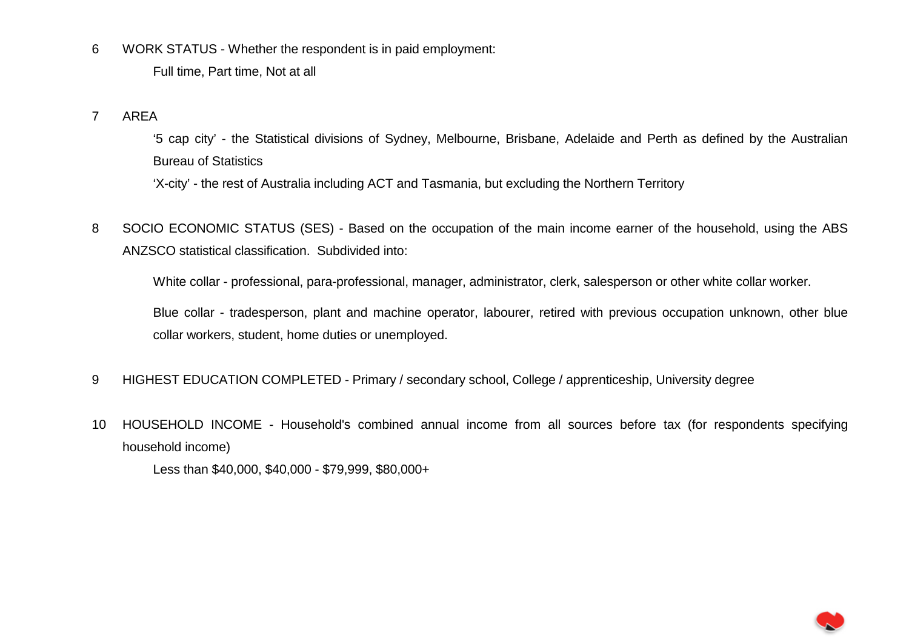6 WORK STATUS - Whether the respondent is in paid employment:

Full time, Part time, Not at all

7 AREA

 '5 cap city' - the Statistical divisions of Sydney, Melbourne, Brisbane, Adelaide and Perth as defined by the Australian Bureau of Statistics

'X-city' - the rest of Australia including ACT and Tasmania, but excluding the Northern Territory

8 SOCIO ECONOMIC STATUS (SES) - Based on the occupation of the main income earner of the household, using the ABS ANZSCO statistical classification. Subdivided into:

White collar - professional, para-professional, manager, administrator, clerk, salesperson or other white collar worker.

 Blue collar - tradesperson, plant and machine operator, labourer, retired with previous occupation unknown, other blue collar workers, student, home duties or unemployed.

- 9 HIGHEST EDUCATION COMPLETED Primary / secondary school, College / apprenticeship, University degree
- 10 HOUSEHOLD INCOME Household's combined annual income from all sources before tax (for respondents specifying household income)

Less than \$40,000, \$40,000 - \$79,999, \$80,000+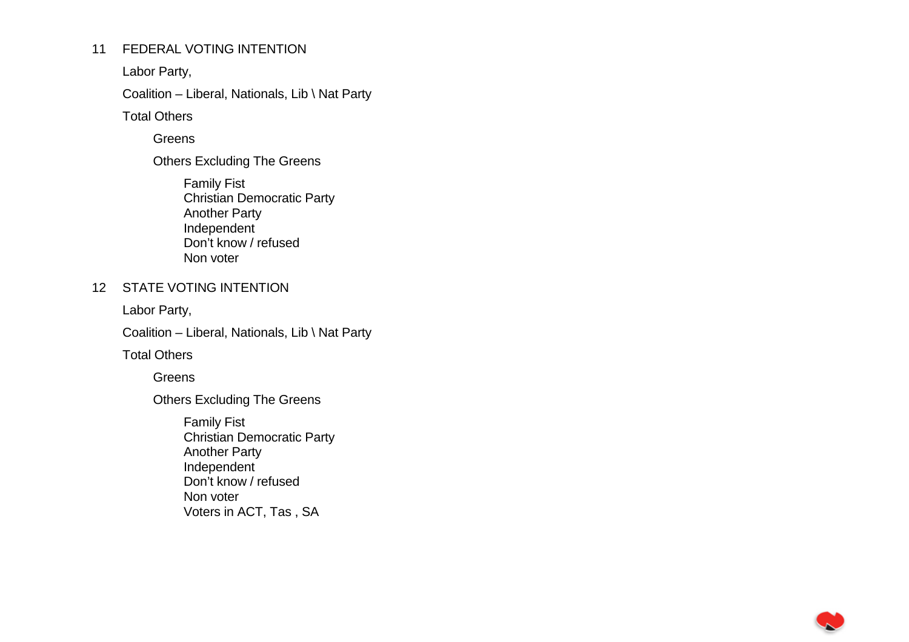# 11 FEDERAL VOTING INTENTION

Labor Party,

Coalition – Liberal, Nationals, Lib \ Nat Party

Total Others

**Greens** 

Others Excluding The Greens

 Family Fist Christian Democratic Party Another Party Independent Don't know / refused Non voter

# 12 STATE VOTING INTENTION

Labor Party,

Coalition – Liberal, Nationals, Lib \ Nat Party

Total Others

**Greens** 

Others Excluding The Greens

 Family Fist Christian Democratic Party Another Party Independent Don't know / refused Non voter Voters in ACT, Tas , SA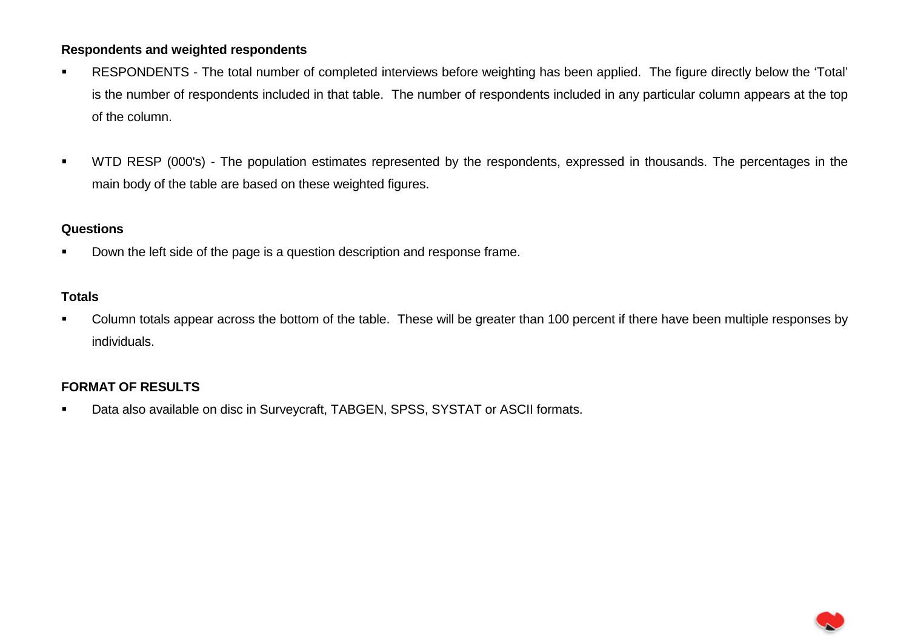# **Respondents and weighted respondents**

- RESPONDENTS The total number of completed interviews before weighting has been applied. The figure directly below the 'Total' is the number of respondents included in that table. The number of respondents included in any particular column appears at the top of the column.
- WTD RESP (000's) The population estimates represented by the respondents, expressed in thousands. The percentages in the main body of the table are based on these weighted figures.

# **Questions**

Down the left side of the page is a question description and response frame.

# **Totals**

• Column totals appear across the bottom of the table. These will be greater than 100 percent if there have been multiple responses by individuals.

# **FORMAT OF RESULTS**

Data also available on disc in Surveycraft, TABGEN, SPSS, SYSTAT or ASCII formats.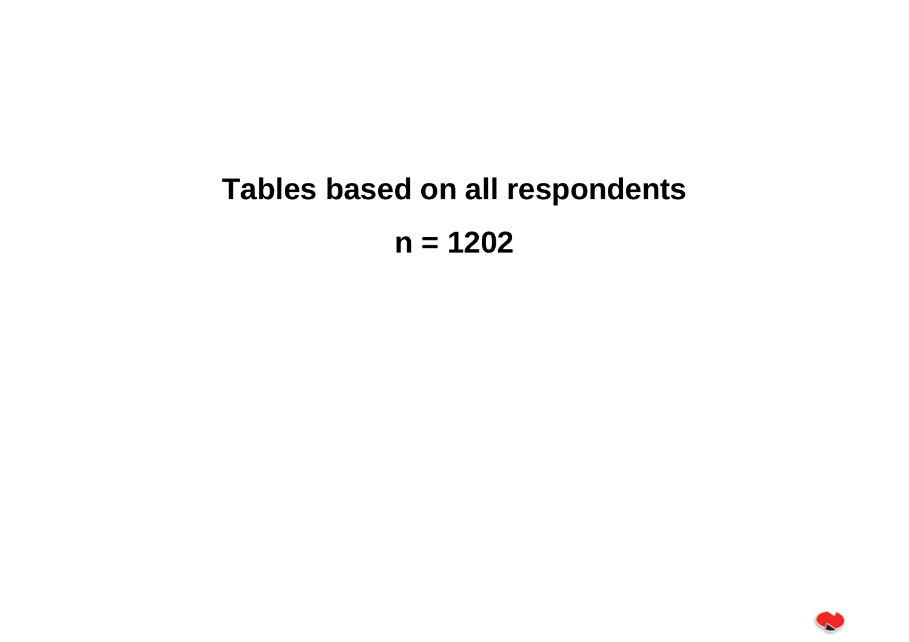# **Tables based on all respondents n = 1202**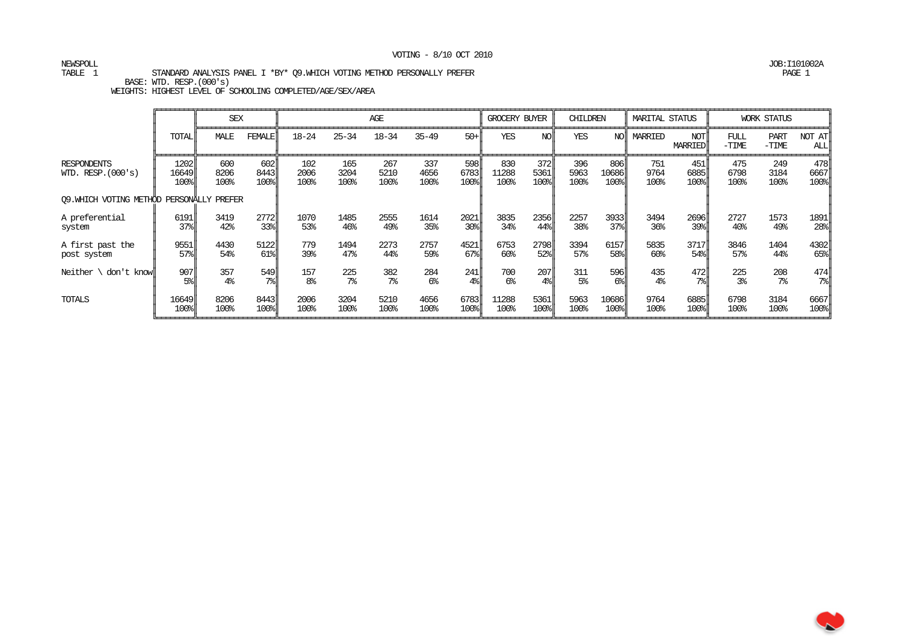# NEWSPOLL JOB:I101002A

TABLE 1 STANDARD ANALYSIS PANEL I \*BY\* Q9.WHICH VOTING METHOD PERSONALLY PREFER PAGE 1

BASE: WTD. RESP.(000's)

|                                            |                                          | <b>SEX</b>          |                     |                     |                     | AGE                 |                     |                                          | GROCERY BUYER        |                     | CHILDREN            |                                          | <b>MARITAL STATUS</b> |                                          |                     | <b>WORK STATUS</b>     |                     |
|--------------------------------------------|------------------------------------------|---------------------|---------------------|---------------------|---------------------|---------------------|---------------------|------------------------------------------|----------------------|---------------------|---------------------|------------------------------------------|-----------------------|------------------------------------------|---------------------|------------------------|---------------------|
|                                            | <b>TOTAL</b>                             | MALE                | FEMALE              | $18 - 24$           | $25 - 34$           | $18 - 34$           | $35 - 49$           | $50+$                                    | <b>YES</b>           | NOI                 | YES                 | NO                                       | MARRIED               | NOT<br><b>MARRIED</b>                    | FUL<br>$-TIME$      | <b>PART</b><br>$-TIME$ | NOT AT<br>ALL       |
| <b>RESPONDENTS</b><br>WID. RESP. $(000's)$ | 1202<br>16649 <br>100%                   | 600<br>8206<br>100% | 602<br>8443<br>100% | 102<br>2006<br>100% | 165<br>3204<br>100% | 267<br>5210<br>100% | 337<br>4656<br>100% | 598<br>6783<br>100%                      | 830<br>11288<br>100% | 372<br>5361<br>100% | 396<br>5963<br>100% | 806I<br>10686<br>100%                    | 751<br>9764<br>100%   | 451<br>6885<br>100%                      | 475<br>6798<br>100% | 249<br>3184<br>100%    | 478<br>6667<br>100% |
| 09. WHICH VOTING METHOD                    |                                          | PERSONALLY PREFER   |                     |                     |                     |                     |                     |                                          |                      |                     |                     |                                          |                       |                                          |                     |                        |                     |
| A preferential                             | 6191                                     | 3419                | 2772                | 1070                | 1485                | 2555                | 1614                | 2021                                     | 3835                 | 2356                | 2257                | 3933                                     | 3494                  | 2696                                     | 2727                | 1573                   | 1891                |
| system                                     | 37%                                      | 42%                 | 33%                 | 53%                 | 46%                 | 49%                 | 35%                 | $30$ <sup><math>\parallel</math></sup>   | 34%                  | 44%                 | 38%                 | $37$ <sup><math>\frac{1}{2}</math></sup> | 36%                   | $39$ <sup><math>\frac{1}{2}</math></sup> | 40 <sup>°</sup>     | 49%                    | $28$ <sup>8</sup>   |
| A first past the                           | 9551                                     | 4430                | 5122                | 779                 | 1494                | 2273                | 2757                | 4521                                     | 6753                 | 2798                | 3394                | 6157                                     | 5835                  | 3717                                     | 3846                | 1404                   | 4302                |
| post system                                | $57$ <sup><math>\frac{1}{2}</math></sup> | 54%                 | 61%                 | 39%                 | 47%                 | 44%                 | 59%                 | $67$ <sup><math>\frac{1}{2}</math></sup> | 60%                  | $52$ l              | 57%                 | 58%                                      | 60%                   | 54%                                      | 57%                 | 44%                    | $65$ <sup>8</sup>   |
| Neither $\setminus$ don't know $\parallel$ | 907                                      | 357                 | 549                 | 157                 | 225                 | 382                 | 284                 | 241                                      | 700                  | 207                 | 311                 | 596                                      | 435                   | 472                                      | 225                 | 208                    | 474                 |
|                                            | $5\%$                                    | 4 <sup>°</sup>      | $7\%$               | 8 <sup>°</sup>      | 7 <sup>°</sup>      | 7 <sup>°</sup>      | 6%                  | $4\$                                     | 6%                   | $4\%$               | 5 <sup>°</sup>      | $6\%$                                    | 4 <sup>°</sup>        | $7\%$                                    | 3 <sup>°</sup>      | $7\%$                  | 7%                  |
| TOTALS                                     | 16649                                    | 8206                | 8443                | 2006                | 3204                | 5210                | 4656                | 6783                                     | 11288                | 5361                | 5963                | 10686                                    | 9764                  | 6885                                     | 6798                | 3184                   | 6667                |
|                                            | 100%                                     | 100%                | 100%                | 100%                | 100%                | 100%                | 100%                | 100%                                     | 100%                 | 100%                | 100%                | 100%                                     | 100%                  | 100%                                     | 100%                | 100%                   | $100$ <sup>8</sup>  |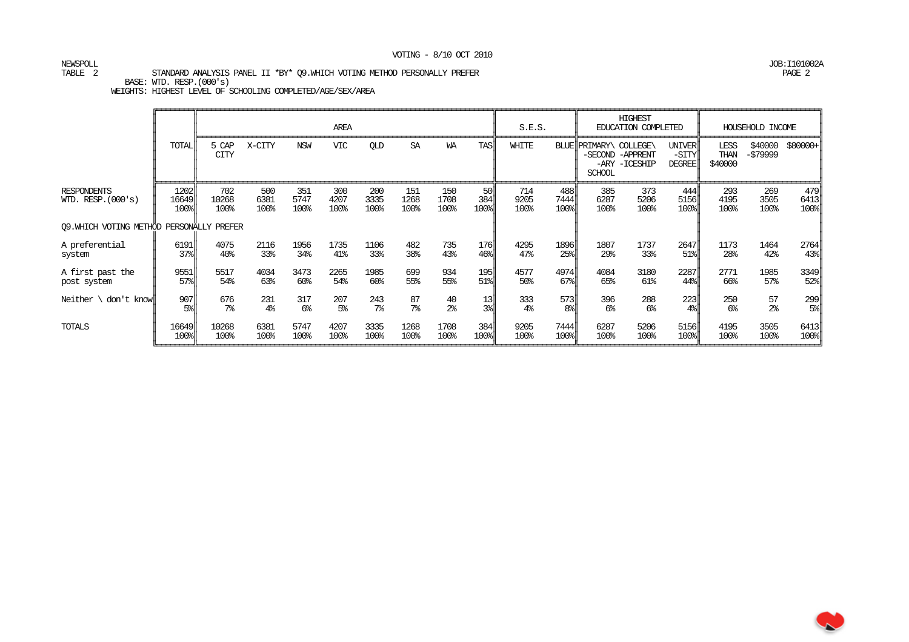# NEWSPOLL JOB:I101002A

#### TABLE 2 STANDARD ANALYSIS PANEL II \*BY\* Q9.WHICH VOTING METHOD PERSONALLY PREFER PAGE 2

BASE: WTD. RESP.(000's)

|                                            |                       |                         |                       |                       | <b>AREA</b>         |                       |                      |                     |                                 | S.E.S.                |                       |                                         | <b>HIGHEST</b><br>EDUCATION COMPLETED |                                           |                         | HOUSEHOLD INCOME     |                           |
|--------------------------------------------|-----------------------|-------------------------|-----------------------|-----------------------|---------------------|-----------------------|----------------------|---------------------|---------------------------------|-----------------------|-----------------------|-----------------------------------------|---------------------------------------|-------------------------------------------|-------------------------|----------------------|---------------------------|
|                                            | <b>TOTAL</b>          | 5 CAP<br><b>CITY</b>    | X-CITY                | <b>NSW</b>            | <b>VIC</b>          | QLD                   | SA                   | WA                  | <b>TAS</b>                      | WHITE                 |                       | BLUE PRIMARY\ COLLEGE\<br><b>SCHOOL</b> | -SECOND -APPRENT<br>-ARY -ICESHIP     | <b>UNIVER</b><br>$-SITY$<br><b>DEGREE</b> | LESS<br>THAN<br>\$40000 | \$40000<br>-\$79999  | $$80000+$                 |
| <b>RESPONDENTS</b><br>WID. RESP. $(000's)$ | 1202<br>16649<br>100% | 702<br>10268<br>100%    | 500<br>6381<br>100%   | 351<br>5747<br>100%   | 300<br>4207<br>100% | 200<br>3335<br>100%   | 151<br>1268<br>100%  | 150<br>1708<br>100% | .50 l<br>384<br>100%            | 714<br>9205<br>100%   | 488<br>7444<br>100%   | 385<br>6287<br>100%                     | 373<br>5206<br>100%                   | 444<br>5156<br>$100$ <sup>s</sup>         | 293<br>4195<br>100%     | 269<br>3505<br>100%  | 479<br>6413<br>100%       |
| 09. WHICH VOTING METHOD PERSONALLY PREFER  |                       |                         |                       |                       |                     |                       |                      |                     |                                 |                       |                       |                                         |                                       |                                           |                         |                      |                           |
| A preferential<br>system                   | 6191<br>$37$ %        | 4075<br>40 <sup>°</sup> | 2116<br>33%           | 1956<br>34%           | 1735<br>41%         | 1106<br>33%           | 482<br>38%           | 735<br>43%          | <b>176</b><br>$46$ <sup>s</sup> | 4295<br>47%           | 1896<br>25%           | 1807<br>29%                             | 1737<br>33%                           | 2647<br>51%                               | 1173<br>28%             | 1464<br>42%          | 2764<br>$43$ <sup>8</sup> |
| A first past the<br>post system            | 9551<br>57%           | 5517<br>54%             | 4034<br>63%           | 3473<br>60%           | 2265<br>54%         | 1985<br>60%           | 699<br>55%           | 934<br>55%          | 195<br>$51$ <sup>8</sup>        | 4577<br>50%           | 4974<br>67%           | 4084<br>65%                             | 3180<br>61%                           | 2287<br>44%                               | 2771<br>66%             | 1985<br>57%          | 3349<br>$52$ $ $          |
| Neither $\setminus$ don't know             | 907<br>5%             | 676<br>7 <sup>°</sup>   | 231<br>4 <sup>°</sup> | 317<br>6 <sup>°</sup> | 207<br>5%           | 243<br>7 <sup>°</sup> | 87<br>7 <sup>°</sup> | $rac{40}{28}$       | 13<br>$3$ ll                    | 333<br>4 <sup>°</sup> | 573<br>8 <sup>°</sup> | 396<br>6 <sup>°</sup>                   | 288<br>6 <sup>°</sup>                 | 223<br>$4\%$                              | 250<br>6 <sup>°</sup>   | 57<br>2 <sup>°</sup> | 299<br>$5\$               |
| TOTALS                                     | 16649<br>100%         | 10268<br>100%           | 6381<br>100%          | 5747<br>100%          | 4207<br>100%        | 3335<br>100%          | 1268<br>100%         | 1708<br>100%        | 384I<br>$100$ %                 | 9205<br>100%          | 7444I<br>100%         | 6287<br>100%                            | 5206<br>100%                          | 5156<br>100%                              | 4195<br>100%            | 3505<br>100%         | 6413<br>100%              |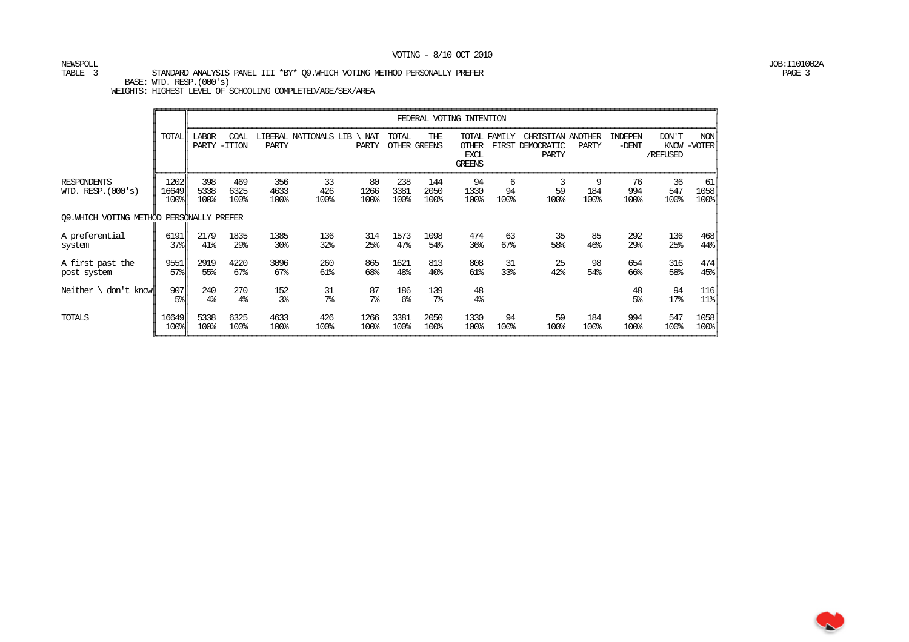# NEWSPOLL JOB:I101002A

TABLE 3 STANDARD ANALYSIS PANEL III \*BY\* Q9.WHICH VOTING METHOD PERSONALLY PREFER PAGE 3

BASE: WTD. RESP.(000's)

|                                            |                       |                       |                         |                       |                       |                      |                       |                        | FEDERAL VOTING INTENTION                     |                       |                                          |                  |                    |                   |                                  |
|--------------------------------------------|-----------------------|-----------------------|-------------------------|-----------------------|-----------------------|----------------------|-----------------------|------------------------|----------------------------------------------|-----------------------|------------------------------------------|------------------|--------------------|-------------------|----------------------------------|
|                                            | TOTAL                 | <b>LABOR</b><br>PARTY | COAL<br>$-TTION$        | <b>PARTY</b>          | LIBERAL NATIONALS LIB | NAT<br>PARTY         | TOTAL                 | THE<br>OTHER GREENS    | <b>OTHER</b><br><b>EXCL</b><br><b>GREENS</b> | TOTAL FAMILY<br>FIRST | CHRISTIAN ANOTHER<br>DEMOCRATIC<br>PARTY | <b>PARTY</b>     | INDEPEN<br>$-DENT$ | DON'T<br>/REFUSED | <b>NON</b><br>KNOW -VOTER        |
| <b>RESPONDENTS</b><br>WID. RESP. $(000's)$ | 1202<br>16649<br>100% | 398<br>5338<br>100%   | 469<br>6325<br>100%     | 356<br>4633<br>100%   | 33<br>426<br>100%     | 80<br>1266<br>100%   | 238<br>3381<br>100%   | 144<br>2050<br>100%    | 94<br>1330<br>100%                           | 6<br>94<br>100%       | 59<br>100%                               | 9<br>184<br>100% | 76<br>994<br>100%  | 36<br>547<br>100% | 61<br>1058<br>$100$ <sup>s</sup> |
| 09. WHICH VOTING METHOD PERSONALLY PREFER  |                       |                       |                         |                       |                       |                      |                       |                        |                                              |                       |                                          |                  |                    |                   |                                  |
| A preferential<br>system                   | 6191<br>37%           | 2179<br>41%           | 1835<br>29 <sub>8</sub> | 1385<br>30%           | 136<br>32%            | 314<br>25%           | 1573<br>47%           | 1098<br>54%            | 474<br>36 <sup>°</sup>                       | 63<br>67%             | 35<br>58%                                | 85<br>46%        | 292<br>29%         | 136<br>25%        | 468<br>$44$ <sup>8</sup>         |
| A first past the<br>post system            | 9551<br>57%           | 2919<br>55%           | 4220<br>67%             | 3096<br>67%           | 260<br>61%            | 865<br>68%           | 1621<br>48%           | 813<br>40 <sub>8</sub> | 808<br>61%                                   | 31<br>33%             | 25<br>42%                                | 98<br>54%        | 654<br>66%         | 316<br>58%        | 474<br>$45$ <sup>8</sup>         |
| Neither $\setminus$<br>don't knowll        | 907<br>5%             | 240<br>4 <sup>°</sup> | 270<br>$4\%$            | 152<br>3 <sup>°</sup> | 31<br>7 <sup>°</sup>  | 87<br>7 <sup>8</sup> | 186<br>6 <sup>°</sup> | 139<br>7 <sup>°</sup>  | 48<br>4 <sup>°</sup>                         |                       |                                          |                  | 48<br>5%           | 94<br>17%         | 116<br>$11$ $  $                 |
| TOTALS                                     | 16649<br>100%         | 5338<br>100%          | 6325<br>100%            | 4633<br>100%          | 426<br>100%           | 1266<br>100%         | 3381<br>100%          | 2050<br>100%           | 1330<br>100%                                 | 94<br>100%            | 59<br>100%                               | 184<br>100%      | 994<br>100%        | 547<br>100%       | 1058<br>$100$ <sup>s</sup>       |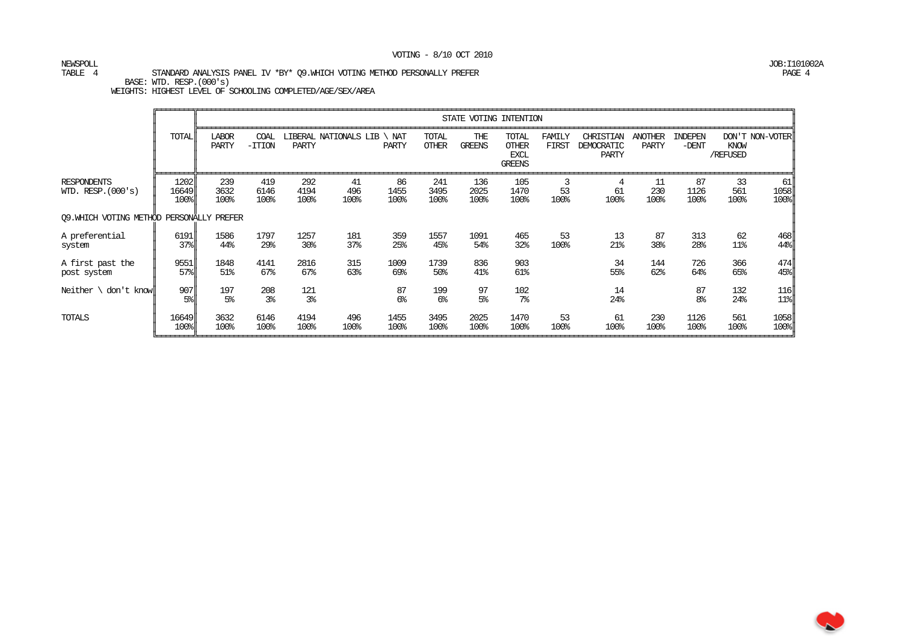# NEWSPOLL JOB:I101002A

TABLE 4 STANDARD ANALYSIS PANEL IV \*BY\* Q9.WHICH VOTING METHOD PERSONALLY PREFER PAGE 4 BASE: WTD. RESP.(000's)

|                                            |                                                  |                       |                         |                         |                       |                     |                       |                      | STATE VOTING INTENTION                                |                        |                                         |                                |                      |                   |                           |
|--------------------------------------------|--------------------------------------------------|-----------------------|-------------------------|-------------------------|-----------------------|---------------------|-----------------------|----------------------|-------------------------------------------------------|------------------------|-----------------------------------------|--------------------------------|----------------------|-------------------|---------------------------|
|                                            | <b>TOTAL</b>                                     | <b>LABOR</b><br>PARTY | COAL<br>$-TTION$        | PARTY                   | LIBERAL NATIONALS LIB | NAT<br><b>PARTY</b> | TOTAL<br><b>OTHER</b> | THE<br><b>GREENS</b> | TOTAL<br><b>OTHER</b><br><b>EXCL</b><br><b>GREENS</b> | FAMILY<br><b>FIRST</b> | CHRISTIAN<br>DEMOCRATIC<br><b>PARTY</b> | <b>ANOTHER</b><br><b>PARTY</b> | INDEPEN<br>$-DENT$   | KNOW<br>/REFUSED  | DON'T NON-VOTER           |
| <b>RESPONDENTS</b><br>WID. RESP. $(000's)$ | 1202<br>16649 <br>100%                           | 239<br>3632<br>100%   | 419<br>6146<br>100%     | 292<br>4194<br>100%     | 41<br>496<br>100%     | 86<br>1455<br>100%  | 241<br>3495<br>100%   | 136<br>2025<br>100%  | 105<br>1470<br>100%                                   | 3<br>53<br>100%        | 4<br>61<br>100%                         | 11<br>230<br>100%              | 87<br>1126<br>100%   | 33<br>561<br>100% | 61<br>1058<br>100%        |
| 09. WHICH VOTING METHOD                    |                                                  | PERSONALLY PREFER     |                         |                         |                       |                     |                       |                      |                                                       |                        |                                         |                                |                      |                   |                           |
| A preferential<br>system                   | 6191<br>$37$ <sup><math>\frac{1}{6}</math></sup> | 1586<br>44%           | 1797<br>29 <sub>8</sub> | 1257<br>30 <sup>8</sup> | 181<br>37%            | 359<br>25%          | 1557<br>45%           | 1091<br>54%          | 465<br>32%                                            | 53<br>100%             | 13<br>21%                               | 87<br>38%                      | 313<br>28%           | 62<br>11%         | 468<br>44%                |
| A first past the<br>post system            | 9551<br>$57$ <sup><math>\frac{1}{2}</math></sup> | 1848<br>51%           | 4141<br>67%             | 2816<br>67%             | 315<br>63%            | 1009<br>69%         | 1739<br>50%           | 836<br>41%           | 903<br>61%                                            |                        | 34<br>55%                               | 144<br>62%                     | 726<br>64%           | 366<br>65%        | 474<br>45%                |
| Neither $\setminus$ don't know             | 907<br>$5\%$                                     | 197<br>5 <sup>°</sup> | 208<br>3 <sup>°</sup>   | 121<br>3 <sup>°</sup>   |                       | 87<br>6%            | 199<br>6 <sup>°</sup> | 97<br>5 <sup>°</sup> | 102<br>7 <sup>°</sup>                                 |                        | 14<br>24%                               |                                | 87<br>8 <sup>°</sup> | 132<br>24%        | 116<br>$11$ $\frac{8}{1}$ |
| <b>TOTALS</b>                              | 16649<br>100%                                    | 3632<br>100%          | 6146<br>100%            | 4194<br>100%            | 496<br>100%           | 1455<br>100%        | 3495<br>100%          | 2025<br>100%         | 1470<br>100%                                          | 53<br>100%             | 61<br>100%                              | 230<br>100%                    | 1126<br>100%         | 561<br>100%       | 1058<br>100%              |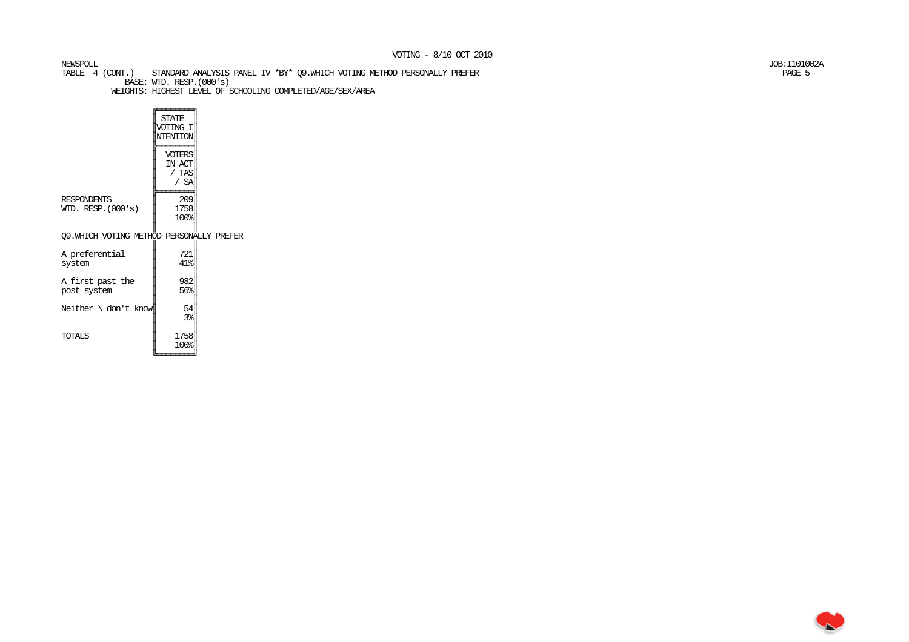TABLE 4 (CONT.) STANDARD ANALYSIS PANEL IV \*BY\* Q9.WHICH VOTING METHOD PERSONALLY PREFER PAGE 5 BASE: WTD. RESP.(000's) WEIGHTS: HIGHEST LEVEL OF SCHOOLING COMPLETED/AGE/SEX/AREA

 $\sqrt{\frac{1}{\text{STATE}}}$  ║VOTING I║ ║NTENTION║╠═══════╣  $\parallel$  voters $\parallel$ IN ACT  $/$  TAS  $/$  SA ╠═══════╣ 209 RESPONDENTS 1758 WID. RESP. $(000's)$  $100%$  ║ ║ Q9.WHICH VOTING METHOD PERSONALLY PREFER ║721 A preferential  $41%$  $s$ ystem ║982 A first past the  $56%$ post system

Neither  $\cdot$  don't know 54

TOTALS

║

 $3%$  ║1758

 ║ 100%║╚════════╛

NEWSPOLL JOB:I101002A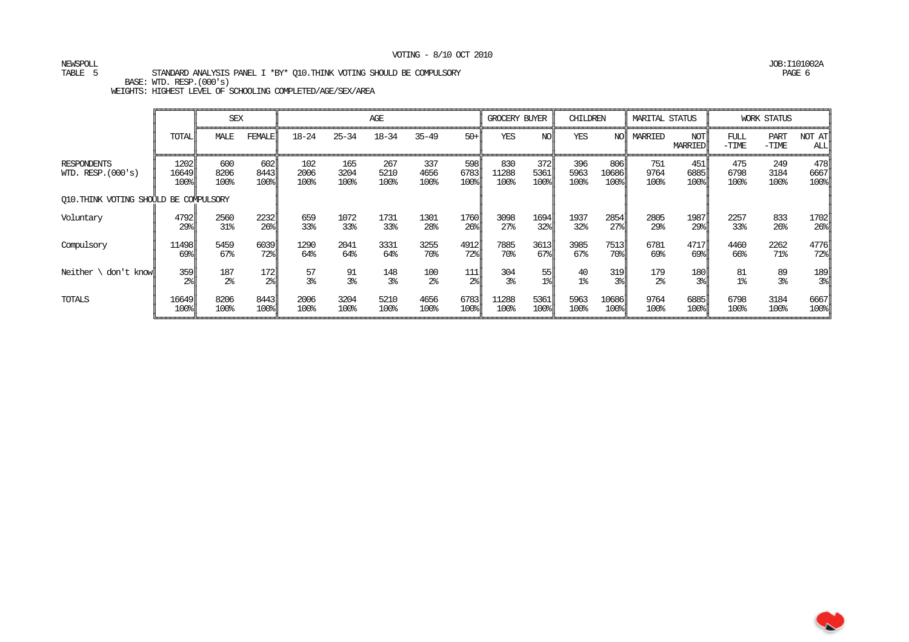TABLE 5 STANDARD ANALYSIS PANEL I \*BY\* Q10.THINK VOTING SHOULD BE COMPULSORY PAGE 6

BASE: WTD. RESP.(000's)

WEIGHTS: HIGHEST LEVEL OF SCHOOLING COMPLETED/AGE/SEX/AREA

|                                            |                          | <b>SEX</b>          |                     |                     |                     | AGE                 |                     |                     | GROCERY BUYER        |                                   | CHILDREN            |                                          | MARITAL STATUS      |                                        |                     | <b>WORK STATUS</b>     |                     |
|--------------------------------------------|--------------------------|---------------------|---------------------|---------------------|---------------------|---------------------|---------------------|---------------------|----------------------|-----------------------------------|---------------------|------------------------------------------|---------------------|----------------------------------------|---------------------|------------------------|---------------------|
|                                            | <b>TOTAL</b>             | MALE                | FEMALE              | $18 - 24$           | $25 - 34$           | $18 - 34$           | $35 - 49$           | $50 +$              | <b>YES</b>           | NOI                               | <b>YES</b>          | NO <sub>I</sub>                          | MARRIED             | NOT <sub>I</sub><br><b>MARRIED</b>     | FULL<br>$-TIME$     | <b>PART</b><br>$-TIME$ | NOT AT<br>ALL       |
| <b>RESPONDENTS</b><br>WID. RESP. $(000's)$ | 1202  <br>16649 <br>100% | 600<br>8206<br>100% | 602<br>8443<br>100% | 102<br>2006<br>100% | 165<br>3204<br>100% | 267<br>5210<br>100% | 337<br>4656<br>100% | 598<br>6783<br>100% | 830<br>11288<br>100% | 372<br>5361<br>$100$ <sup>s</sup> | 396<br>5963<br>100% | 806I<br>10686<br>$100$ <sup>s</sup>      | 751<br>9764<br>100% | 451<br>6885<br>$100$ <sup>s</sup>      | 475<br>6798<br>100% | 249<br>3184<br>100%    | 478<br>6667<br>100% |
| O10. THINK VOTING SHOULD BE COMPULSORY     |                          |                     |                     |                     |                     |                     |                     |                     |                      |                                   |                     |                                          |                     |                                        |                     |                        |                     |
| Voluntary                                  | 4792                     | 2560                | 2232                | 659                 | 1072                | 1731                | 1301                | 1760                | 3098                 | 1694                              | 1937                | 2854                                     | 2805                | 1987                                   | 2257                | 833                    | 1702                |
|                                            | 29 <sub>8</sub>          | 31%                 | 26%                 | 33%                 | 33%                 | 33%                 | 28%                 | $26\%$              | 27 <sup>8</sup>      | 32%                               | 32%                 | $27$ <sup><math>\frac{1}{2}</math></sup> | 29%                 | $29$ <sup><math>\parallel</math></sup> | 33%                 | 26%                    | $26\$               |
| Compulsory                                 | 11498                    | 5459                | 6039                | 1290                | 2041                | 3331                | 3255                | 4912                | 7885                 | 3613                              | 3985                | 7513                                     | 6781                | 4717                                   | 4460                | 2262                   | 4776                |
|                                            | 69%                      | 67%                 | 72%                 | 64%                 | 64%                 | 64%                 | 70%                 | 72%                 | 70%                  | $67$ $8$                          | 67%                 | 70%                                      | 69%                 | 69%l                                   | 66%                 | 71%                    | $72$ $\ $           |
| Neither $\setminus$ don't know             | 359                      | 187                 | 172                 | 57                  | 91                  | 148                 | 100                 | 111                 | 304                  | 55                                | 40                  | 319                                      | 179                 | 180 <sup>1</sup>                       | 81                  | 89                     | 189                 |
|                                            | $2\$                     | 2 <sup>°</sup>      | 2 <sup>°</sup>      | 3 <sup>°</sup>      | 3 <sup>°</sup>      | 3 <sup>°</sup>      | 2 <sup>°</sup>      | $2\frac{6}{5}$      | 3%                   | $1$ $\epsilon$                    | 1 <sup>°</sup>      | 3 <sup>°</sup>                           | 2 <sup>°</sup>      | 38                                     | 1 <sup>°</sup>      | 3 <sup>°</sup>         | $3\%$               |
| TOTALS                                     | 16649                    | 8206                | 8443                | 2006                | 3204                | 5210                | 4656                | 6783                | 11288                | 5361                              | 5963                | 10686                                    | 9764                | 6885                                   | 6798                | 3184                   | 6667                |
|                                            | 100%                     | 100%                | 100%                | 100%                | 100%                | 100%                | 100%                | 100%                | 100%                 | 100%                              | 100%                | 100%                                     | 100%                | $100$ <sup>s</sup>                     | 100%                | 100%                   | 100%                |

NEWSPOLL JOB:I101002A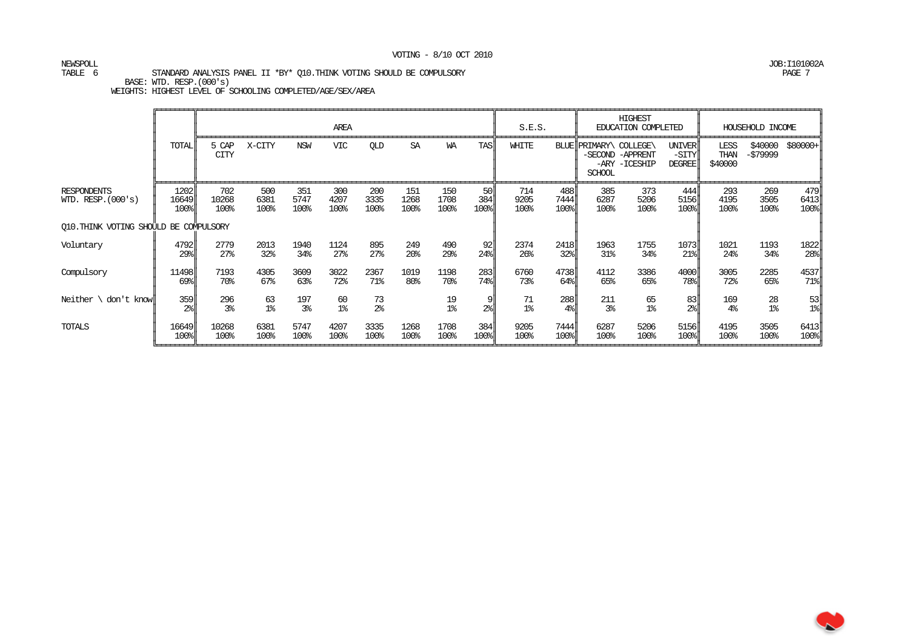# NEWSPOLL JOB:I101002A

#### TABLE 6 STANDARD ANALYSIS PANEL II \*BY\* Q10.THINK VOTING SHOULD BE COMPULSORY PAGE 7

BASE: WTD. RESP.(000's)

|                                            |                       |                         |                      |                       | AREA                    |                        |                        |                     |                                                            | S.E.S.                  |                                      |                                         | <b>HIGHEST</b><br>EDUCATION COMPLETED |                                         |                         | HOUSEHOLD INCOME     |                                                          |
|--------------------------------------------|-----------------------|-------------------------|----------------------|-----------------------|-------------------------|------------------------|------------------------|---------------------|------------------------------------------------------------|-------------------------|--------------------------------------|-----------------------------------------|---------------------------------------|-----------------------------------------|-------------------------|----------------------|----------------------------------------------------------|
|                                            | TOTAL                 | 5 CAP<br>CITY           | X-CITY               | <b>NSW</b>            | VIC                     | QLD                    | SA                     | WA                  | TASI                                                       | WHITE                   |                                      | BLUE PRIMARY\ COLLEGE\<br><b>SCHOOL</b> | -SECOND -APPRENT<br>-ARY -ICESHIP     | <b>UNIVER</b><br>-SITY<br><b>DEGREE</b> | LESS<br>THAN<br>\$40000 | \$40000<br>-\$79999  | $$80000+$                                                |
| <b>RESPONDENTS</b><br>WID. RESP. $(000's)$ | 1202<br>16649<br>100% | 702<br>10268<br>100%    | 500<br>6381<br>100%  | 351<br>5747<br>100%   | 300<br>4207<br>100%     | 200<br>3335<br>100%    | 151<br>1268<br>100%    | 150<br>1708<br>100% | -50 ll<br>384<br>$100$ <sup><math>\frac{1}{2}</math></sup> | 714<br>9205<br>100%     | 488 ll<br>7444<br>$100$ <sup>s</sup> | 385<br>6287<br>100%                     | 373<br>5206<br>100%                   | 444 ll<br>5156<br>$100$ <sup>s</sup>    | 293<br>4195<br>100%     | 269<br>3505<br>100%  | 479<br>6413<br>$100$ <sup><math>\frac{1}{2}</math></sup> |
| O10. THINK VOTING SHOULD BE COMPULSORY     |                       |                         |                      |                       |                         |                        |                        |                     |                                                            |                         |                                      |                                         |                                       |                                         |                         |                      |                                                          |
| Voluntary                                  | 4792<br>29%           | 2779<br>27 <sup>8</sup> | 2013<br>32%          | 1940<br>34%           | 1124<br>27 <sup>8</sup> | 895<br>27 <sup>8</sup> | 249<br>20 <sup>o</sup> | 490<br>29%          | 92<br>24%                                                  | 2374<br>26 <sup>°</sup> | 2418<br>32%                          | 1963<br>31%                             | 1755<br>34%                           | 1073<br>$21$ <sup>8</sup>               | 1021<br>24%             | 1193<br>34%          | 1822<br>$28$                                             |
| Compulsory                                 | 11498<br>69%          | 7193<br>70%             | 4305<br>67%          | 3609<br>63%           | 3022<br>72%             | 2367<br>71%            | 1019<br>80%            | 1198<br>70%         | 283<br>$74$ %                                              | 6760<br>73%             | 4738<br>$64$ <sup>8</sup>            | 4112<br>65%                             | 3386<br>65%                           | 4000<br>78%                             | 3005<br>72%             | 2285<br>65%          | 4537<br>$71$ $\frac{8}{ }$                               |
| Neither $\setminus$ don't know             | 359<br>2 <sup>°</sup> | 296<br>3 <sup>°</sup>   | 63<br>1 <sup>°</sup> | 197<br>3 <sup>°</sup> | 60<br>1 <sup>°</sup>    | 73<br>2 <sup>°</sup>   |                        | $\frac{19}{18}$     | 9<br>2 <sup>°</sup>                                        | 71<br>1 <sup>°</sup>    | 288<br>$4\%$                         | 211<br>3 <sup>°</sup>                   | 65<br>1 <sup>°</sup>                  | 83<br>2 <sup>°</sup>                    | 169<br>4 <sup>°</sup>   | 28<br>$1\textdegree$ | 53<br>$1$ $\frac{8}{3}$                                  |
| TOTALS                                     | 16649<br>100%         | 10268<br>100%           | 6381<br>100%         | 5747<br>100%          | 4207<br>100%            | 3335<br>100%           | 1268<br>100%           | 1708<br>100%        | 384<br>100%                                                | 9205<br>100%            | 7444<br>100%                         | 6287<br>100%                            | 5206<br>100%                          | 5156<br>$100$ <sup>s</sup>              | 4195<br>100%            | 3505<br>100%         | 6413<br>100%                                             |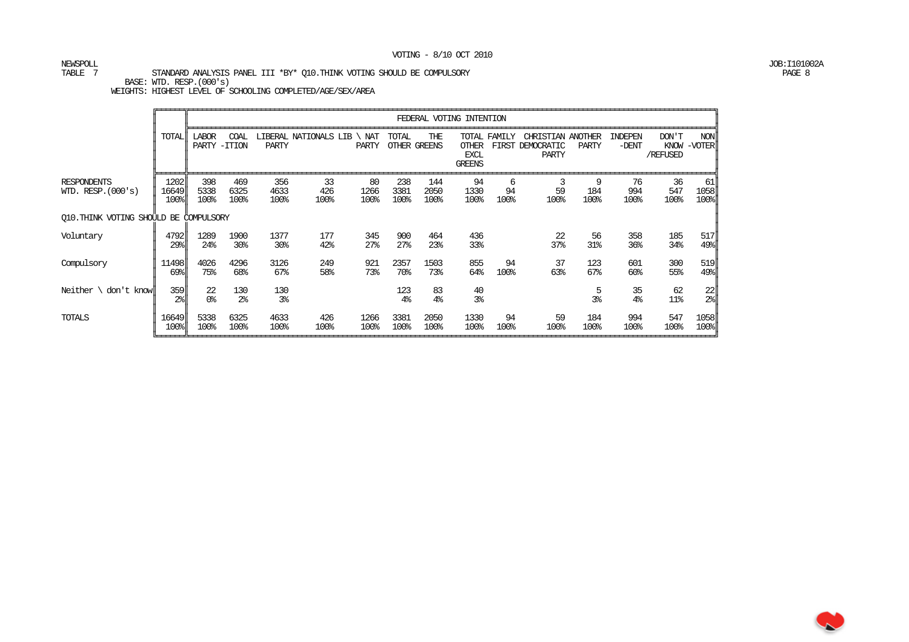# NEWSPOLL JOB:I101002A

TABLE 7 STANDARD ANALYSIS PANEL III \*BY\* Q10.THINK VOTING SHOULD BE COMPULSORY PAGE 8

BASE: WTD. RESP.(000's)

|                                            |                       |                       |                       |                         |                       |                        |                        |                        | FEDERAL VOTING INTENTION                       |                 |                                                 |                       |                        |                           |                                  |
|--------------------------------------------|-----------------------|-----------------------|-----------------------|-------------------------|-----------------------|------------------------|------------------------|------------------------|------------------------------------------------|-----------------|-------------------------------------------------|-----------------------|------------------------|---------------------------|----------------------------------|
|                                            | <b>TOTAL</b>          | <b>LABOR</b><br>PARTY | COAL<br>-ITION        | PARTY                   | LIBERAL NATIONALS LIB | NAT<br>PARTY           | TOTAL                  | THE<br>OTHER GREENS    | TOTAL<br>OTHER<br><b>EXCL</b><br><b>GREENS</b> | FAMTLY<br>FIRST | CHRISTIAN ANOTHER<br>DEMOCRATIC<br><b>PARTY</b> | PARTY                 | INDEPEN<br>$-DENT$     | DON'T<br>KNOW<br>/REFUSED | <b>NON</b><br>-VOTER             |
| <b>RESPONDENTS</b><br>WID. RESP. $(000's)$ | 1202<br>16649<br>100% | 398<br>5338<br>100%   | 469<br>6325<br>100%   | 356<br>4633<br>100%     | 33<br>426<br>100%     | 80<br>1266<br>100%     | 238<br>3381<br>100%    | 144<br>2050<br>100%    | 94<br>1330<br>100%                             | 6<br>94<br>100% | 3<br>59<br>100%                                 | 9<br>184<br>100%      | 76<br>994<br>100%      | 36<br>547<br>100%         | 61<br>1058<br>$100$ <sup>s</sup> |
| O10. THINK VOTING SHOULD BE COMPULSORY     |                       |                       |                       |                         |                       |                        |                        |                        |                                                |                 |                                                 |                       |                        |                           |                                  |
| Voluntary                                  | 4792<br>29%           | 1289<br>24%           | 1900<br>30%           | 1377<br>30 <sub>8</sub> | 177<br>42%            | 345<br>27 <sup>8</sup> | 900<br>27 <sup>8</sup> | 464<br>23 <sup>8</sup> | 436<br>33%                                     |                 | 22<br>37%                                       | 56<br>31 <sub>8</sub> | 358<br>36%             | 185<br>34%                | 517<br>$49$ <sup>s</sup>         |
| Compulsory                                 | 11498<br>$69$ $s$     | 4026<br>75%           | 4296<br>68%           | 3126<br>$67\%$          | 249<br>58%            | 921<br>73%             | 2357<br>70%            | 1503<br>73%            | 855<br>64%                                     | 94<br>100%      | 37<br>63%                                       | 123<br>67%            | 601<br>60 <sup>8</sup> | 300<br>55%                | 519<br>$49$ <sup>s</sup>         |
| Neither $\setminus$<br>don't knowll        | 359<br>2 <sup>°</sup> | 22<br>0%              | 130<br>2 <sup>°</sup> | 130<br>3 <sup>°</sup>   |                       |                        | 123<br>4 <sup>°</sup>  | 83<br>4 <sup>°</sup>   | 40<br>3 <sup>°</sup>                           |                 |                                                 | 5<br>3 <sup>°</sup>   | 35<br>4 <sup>°</sup>   | 62<br>$11$ %              | 22<br>$2\frac{8}{3}$             |
| TOTALS                                     | 16649<br>100%         | 5338<br>100%          | 6325<br>100%          | 4633<br>100%            | 426<br>100%           | 1266<br>100%           | 3381<br>100%           | 2050<br>100%           | 1330<br>100%                                   | 94<br>100%      | 59<br>100%                                      | 184<br>100%           | 994<br>100%            | 547<br>100%               | 1058<br>$100$ <sup>s</sup>       |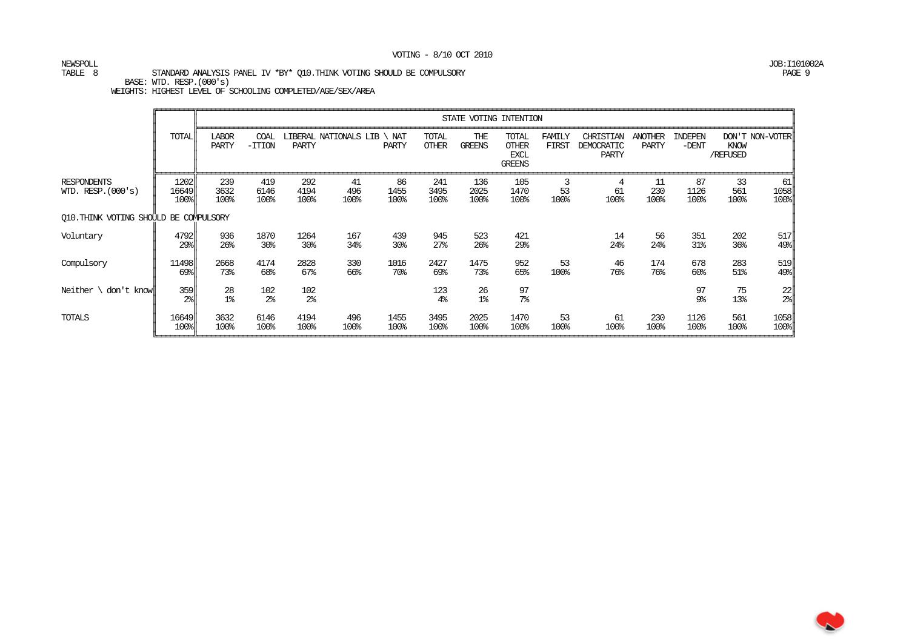# NEWSPOLL JOB:I101002A

TABLE 8 STANDARD ANALYSIS PANEL IV \*BY\* Q10.THINK VOTING SHOULD BE COMPULSORY PAGE 9

 BASE: WTD. RESP.(000's) WEIGHTS: HIGHEST LEVEL OF SCHOOLING COMPLETED/AGE/SEX/AREA

|                                            |                       |                                    |                         |                         |                       |                        |                        |                        | STATE VOTING INTENTION                         |                 |                                  |                         |                        |                   |                           |
|--------------------------------------------|-----------------------|------------------------------------|-------------------------|-------------------------|-----------------------|------------------------|------------------------|------------------------|------------------------------------------------|-----------------|----------------------------------|-------------------------|------------------------|-------------------|---------------------------|
|                                            | TOTAL                 | <b>LABOR</b><br>PARTY              | COAL<br>$-TTION$        | PARTY                   | LIBERAL NATIONALS LIB | NAT<br>PARTY           | TOTAL<br><b>OTHER</b>  | THE<br>GREENS          | TOTAL<br><b>OTHER</b><br>EXCL<br><b>GREENS</b> | FAMILY<br>FIRST | CHRISTIAN<br>DEMOCRATIC<br>PARTY | <b>ANOTHER</b><br>PARTY | INDEPEN<br>$-DENT$     | KNOW<br>/REFUSED  | DON'T NON-VOTER           |
| <b>RESPONDENTS</b><br>WID. RESP. $(000's)$ | 1202<br>16649<br>100% | 239<br>3632<br>100%                | 419<br>6146<br>100%     | 292<br>4194<br>100%     | 41<br>496<br>100%     | 86<br>1455<br>100%     | 241<br>3495<br>100%    | 136<br>2025<br>100%    | 105<br>1470<br>100%                            | 3<br>53<br>100% | 4<br>61<br>100%                  | 11<br>230<br>100%       | 87<br>1126<br>100%     | 33<br>561<br>100% | 61<br>1058<br>100%        |
| O10. THINK VOTING SHOULD BE COMPULSORY     |                       |                                    |                         |                         |                       |                        |                        |                        |                                                |                 |                                  |                         |                        |                   |                           |
| Voluntary                                  | 4792<br>29%           | 936<br>26 <sup>°</sup>             | 1870<br>30 <sup>8</sup> | 1264<br>30 <sub>8</sub> | 167<br>34%            | 439<br>30 <sub>8</sub> | 945<br>27 <sup>8</sup> | 523<br>26 <sup>°</sup> | 421<br>29%                                     |                 | 14<br>24%                        | 56<br>24%               | 351<br>31 <sub>8</sub> | 202<br>36%        | 517<br>$49$ $\frac{8}{1}$ |
| Compulsory                                 | 11498<br>69%          | 2668<br>73%                        | 4174<br>68%             | 2828<br>$67\%$          | 330<br>66%            | 1016<br>70%            | 2427<br>69%            | 1475<br>73%            | 952<br>65%                                     | 53<br>100%      | 46<br>76%                        | 174<br>76%              | 678<br>$60\%$          | 283<br>51%        | 519<br>$49$ <sup>8</sup>  |
| Neither \<br>don't knowll                  | 359<br>2 <sup>°</sup> | 28<br>$1$ $\overline{\phantom{0}}$ | 102<br>2 <sup>°</sup>   | 102<br>2 <sup>°</sup>   |                       |                        | 123<br>4 <sup>°</sup>  | 26<br>1 <sup>°</sup>   | $\frac{97}{7}$                                 |                 |                                  |                         | 97<br>9%               | 75<br>13%         | 22<br>$2\$                |
| TOTALS                                     | 16649<br>100%         | 3632<br>100%                       | 6146<br>100%            | 4194<br>100%            | 496<br>100%           | 1455<br>100%           | 3495<br>100%           | 2025<br>100%           | 1470<br>100%                                   | 53<br>100%      | 61<br>100%                       | 230<br>100%             | 1126<br>100%           | 561<br>100%       | 1058<br>100%              |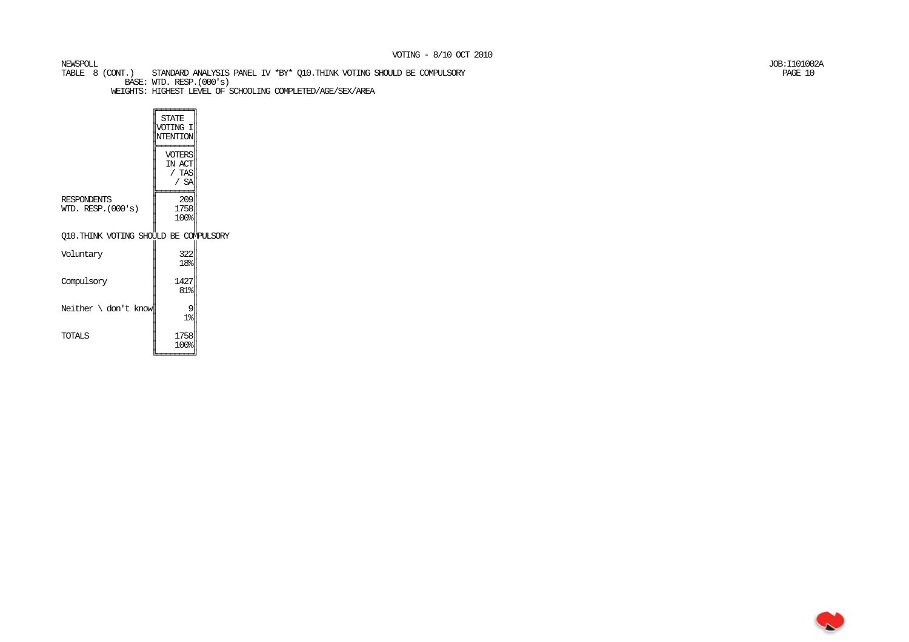TABLE 8 (CONT.) STANDARD ANALYSIS PANEL IV \*BY\* Q10.THINK VOTING SHOULD BE COMPULSORY PAGE 10 BASE: WTD. RESP.(000's) WEIGHTS: HIGHEST LEVEL OF SCHOOLING COMPLETED/AGE/SEX/AREA

 $\sqrt{\frac{1}{\text{STATE}}}$  ║VOTING I║ ║NTENTION║╠═══════╣  $\parallel$  voters $\parallel$ IN ACT  $/$  TAS  $/$  SA ╠═══════╣ 209 RESPONDENTS 1758 WID. RESP. $(000's)$  $100%$  ║ ║ Q10.THINK VOTING SHOULD BE COMPULSORY ║ $322$ Voluntary  $\frac{5}{18}$  $\begin{vmatrix} 1 & 1 & 1 \end{vmatrix}$ Compulsory ║ 81%║ ║Neither  $\cdot$  don't know 9  $1\%$  ║1758 TOTALS ║ 100%║╚════════╛

NEWSPOLL JOB:I101002A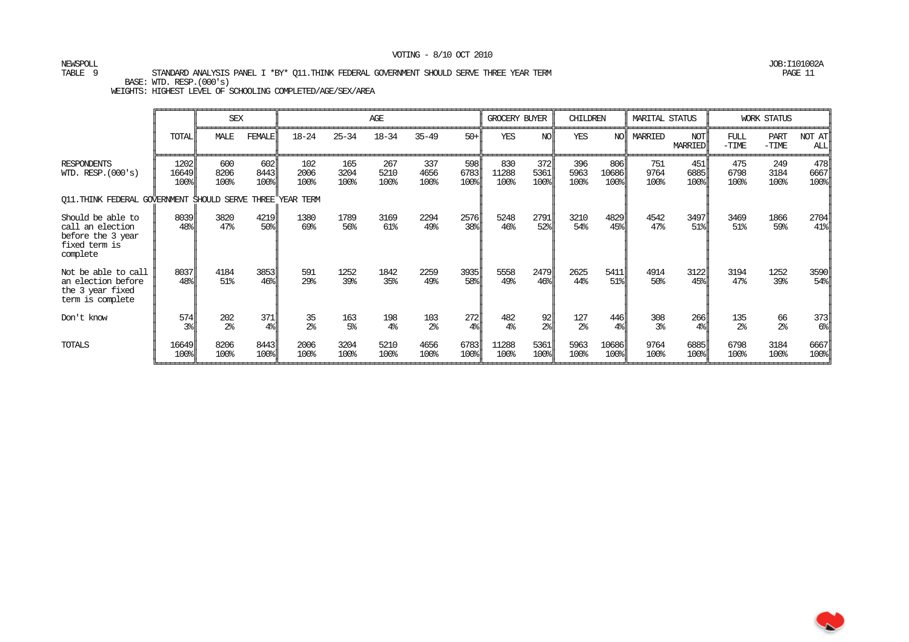NEWSPOLL JOB:I101002A

W

TABLE 9 STANDARD ANALYSIS PANEL I \*BY\* Q11.THINK FEDERAL GOVERNMENT SHOULD SERVE THREE YEAR TERM PAGE 11 BASE: WTD. RESP.(000's)

|                                                                                         |                                     | <b>SEX</b>            |                         |                      |                       | AGE                   |                       |                                                          | GROCERY BUYER         |                            | <b>CHILDREN</b>       |                                                           | <b>MARITAL STATUS</b> |                           |                         | <b>WORK STATUS</b>   |                                   |
|-----------------------------------------------------------------------------------------|-------------------------------------|-----------------------|-------------------------|----------------------|-----------------------|-----------------------|-----------------------|----------------------------------------------------------|-----------------------|----------------------------|-----------------------|-----------------------------------------------------------|-----------------------|---------------------------|-------------------------|----------------------|-----------------------------------|
|                                                                                         | <b>TOTAL</b>                        | MALE                  | <b>FEMALE</b>           | $18 - 24$            | $25 - 34$             | $18 - 34$             | $35 - 49$             | $50 +$                                                   | <b>YES</b>            | N <sub>O</sub>             | <b>YES</b>            | NO                                                        | MARRIED               | <b>NOT</b><br>MARRIED     | FUL<br>$-\mathrm{TIME}$ | PART<br>$-TIME$      | NOT AT<br>ALL                     |
| <b>RESPONDENTS</b><br>WID. RESP. $(000's)$                                              | 1202<br>16649<br>$100$ <sup>s</sup> | 600<br>8206<br>100%   | 602<br>8443<br>100%     | 102<br>2006<br>100%  | 165<br>3204<br>100%   | 267<br>5210<br>100%   | 337<br>4656<br>100%   | 598<br>6783<br>$100$ <sup><math>\frac{1}{2}</math></sup> | 830<br>11288<br>100%  | 372<br>5361<br>$100$ l     | 396<br>5963<br>100%   | 806<br>10686<br>$100$ <sup><math>\frac{1}{2}</math></sup> | 751<br>9764<br>100%   | 451<br>6885<br>100%       | 475<br>6798<br>100%     | 249<br>3184<br>100%  | 478<br>6667<br>$100$ <sup>s</sup> |
| Q11. THINK FEDERAL GOVERNMENT SHOULD SERVE THREE                                        |                                     |                       |                         | YEAR TERM            |                       |                       |                       |                                                          |                       |                            |                       |                                                           |                       |                           |                         |                      |                                   |
| Should be able to<br>call an election<br>before the 3 year<br>fixed term is<br>complete | 8039<br>$48$ l                      | 3820<br>47%           | 4219<br>50%             | 1380<br>69%          | 1789<br>56%           | 3169<br>61%           | 2294<br>49%           | 2576<br>$38$                                             | 5248<br>46%           | 2791<br>$52$ <sup>8</sup>  | 3210<br>54%           | 4829<br>$45$ l                                            | 4542<br>47%           | 3497<br>$51$ <sup>8</sup> | 3469<br>51%             | 1866<br>59%          | 2704<br>$41$ <sup>8</sup>         |
| Not be able to call<br>an election before<br>the 3 year fixed<br>term is complete       | 8037<br>$48$ %                      | 4184<br>51%           | 3853<br>46 <sup>°</sup> | 591<br>29%           | 1252<br>39%           | 1842<br>35%           | 2259<br>49%           | 3935<br>58                                               | 5558<br>49%           | 2479<br>$46$ <sup>s</sup>  | 2625<br>44%           | 5411<br>51%                                               | 4914<br>50%           | 3122<br>45%               | 3194<br>47%             | 1252<br>39%          | 3590<br>54%                       |
| Don't know                                                                              | 574<br>$3\%$                        | 202<br>2 <sup>°</sup> | 371<br>4 <sup>°</sup>   | 35<br>2 <sup>°</sup> | 163<br>5 <sup>°</sup> | 198<br>4 <sup>°</sup> | 103<br>2 <sup>°</sup> | 272<br>$4\%$                                             | 482<br>4 <sup>°</sup> | 92<br>$2\$                 | 127<br>2 <sup>°</sup> | 446<br>$4\%$                                              | 308<br>3 <sup>8</sup> | 266<br>$4\%$              | 135<br>$2\%$            | 66<br>2 <sup>°</sup> | 373<br>$6\%$                      |
| TOTALS                                                                                  | 16649<br>100%                       | 8206<br>100%          | 8443<br>100%            | 2006<br>100%         | 3204<br>100%          | 5210<br>100%          | 4656<br>100%          | 6783<br>100%                                             | 11288<br>100%         | 5361<br>$100$ <sup>s</sup> | 5963<br>100%          | 10686<br>$100$ <sup>s</sup>                               | 9764<br>100%          | 6885<br>100%              | 6798<br>100%            | 3184<br>100%         | 6667<br>$100$ <sup>s</sup>        |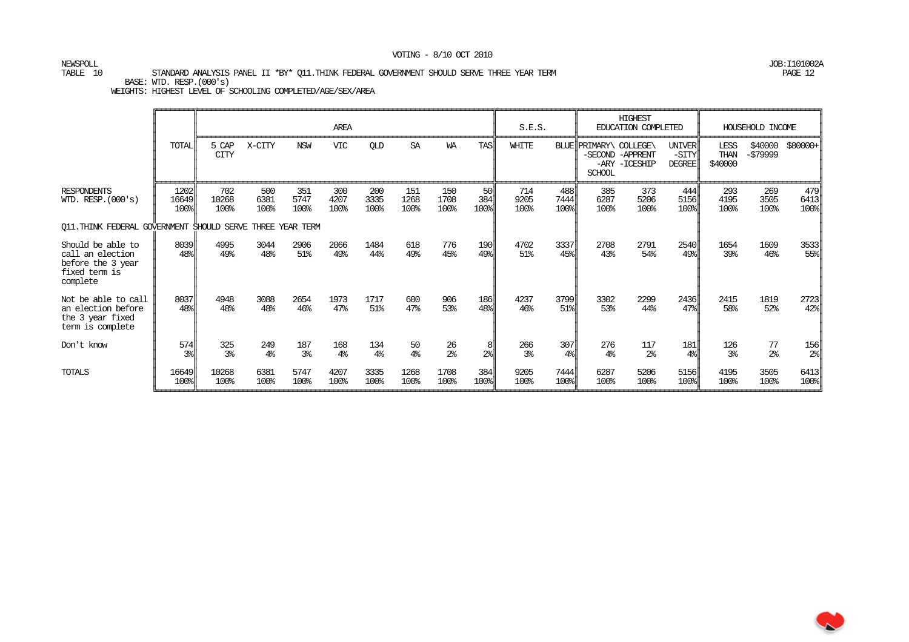NEWSPOLL JOB:I101002A

#### TABLE 10 STANDARD ANALYSIS PANEL II \*BY\* Q11.THINK FEDERAL GOVERNMENT SHOULD SERVE THREE YEAR TERM PAGE 12 PAGE 12 BASE: WTD. RESP.(000's)

|                                                                                         |                       |                       |                       |                     | AREA                |                       |                      |                      |                   | S.E.S.                |                       |                                    | <b>HIGHEST</b><br>EDUCATION COMPLETED |                                         |                         | HOUSEHOLD INCOME     |                       |
|-----------------------------------------------------------------------------------------|-----------------------|-----------------------|-----------------------|---------------------|---------------------|-----------------------|----------------------|----------------------|-------------------|-----------------------|-----------------------|------------------------------------|---------------------------------------|-----------------------------------------|-------------------------|----------------------|-----------------------|
|                                                                                         | TOTAL                 | 5 CAP<br><b>CITY</b>  | X-CITY                | <b>NSW</b>          | <b>VIC</b>          | <b>OLD</b>            | <b>SA</b>            | <b>WA</b>            | <b>TAS</b>        | WHITE                 | BLUE                  | PRIMARY\ COLLEGE\<br><b>SCHOOL</b> | -SECOND -APPRENT<br>-ARY -ICESHIP     | <b>UNIVER</b><br>-SITY<br><b>DEGREE</b> | LESS<br>THAN<br>\$40000 | \$40000<br>-\$79999  | \$80000+              |
| <b>RESPONDENTS</b><br>WID. RESP. (000's)                                                | 1202<br>16649<br>100% | 702<br>10268<br>100%  | 500<br>6381<br>100%   | 351<br>5747<br>100% | 300<br>4207<br>100% | 200<br>3335<br>100%   | 151<br>1268<br>100%  | 150<br>1708<br>100%  | 50<br>384<br>100% | 714<br>9205<br>100%   | 488<br>7444<br>100%   | 385<br>6287<br>100%                | 373<br>5206<br>100%                   | 444<br>5156<br>100%                     | 293<br>4195<br>100%     | 269<br>3505<br>100%  | 479<br>6413<br>100%   |
| Q11.THINK FEDERAL GOVERNMENT SHOULD SERVE THREE YEAR TERM                               |                       |                       |                       |                     |                     |                       |                      |                      |                   |                       |                       |                                    |                                       |                                         |                         |                      |                       |
| Should be able to<br>call an election<br>before the 3 year<br>fixed term is<br>complete | 8039<br>48%           | 4995<br>49%           | 3044<br>48%           | 2906<br>51%         | 2066<br>49%         | 1484<br>44%           | 618<br>49%           | 776<br>45%           | 190<br>49%        | 4702<br>51%           | 3337<br>45%           | 2708<br>43%                        | 2791<br>54%                           | 2540<br>49%                             | 1654<br>39%             | 1609<br>$46\%$       | 3533<br>55%           |
| Not be able to call<br>an election before<br>the 3 year fixed<br>term is complete       | 8037<br>48%           | 4948<br>48%           | 3088<br>48%           | 2654<br>46%         | 1973<br>47%         | 1717<br>51%           | 600<br>47%           | 906<br>53%           | 186<br>48%        | 4237<br>46%           | 3799<br>51%           | 3302<br>53%                        | 2299<br>44%                           | 2436<br>47%                             | 2415<br>58%             | 1819<br>52%          | 2723<br>42%           |
| Don't know                                                                              | 574<br>3%             | 325<br>3 <sup>8</sup> | 249<br>4 <sup>°</sup> | 187<br>3%           | 168<br>4%           | 134<br>4 <sup>°</sup> | 50<br>4 <sup>°</sup> | 26<br>2 <sup>°</sup> | 2 <sup>°</sup>    | 266<br>3 <sup>8</sup> | 307<br>4 <sup>°</sup> | 276<br>4%                          | 117<br>2 <sup>°</sup>                 | 181<br>4 <sup>°</sup>                   | 126<br>3 <sup>°</sup>   | 77<br>2 <sup>°</sup> | 156<br>2 <sup>°</sup> |
| TOTALS                                                                                  | 16649<br>100%         | 10268<br>100%         | 6381<br>100%          | 5747<br>100%        | 4207<br>100%        | 3335<br>100%          | 1268<br>100%         | 1708<br>100%         | 384<br>100%       | 9205<br>100%          | 7444<br>100%          | 6287<br>100%                       | 5206<br>100%                          | 5156<br>$100$ <sup>s</sup>              | 4195<br>100%            | 3505<br>100%         | 6413<br>100%          |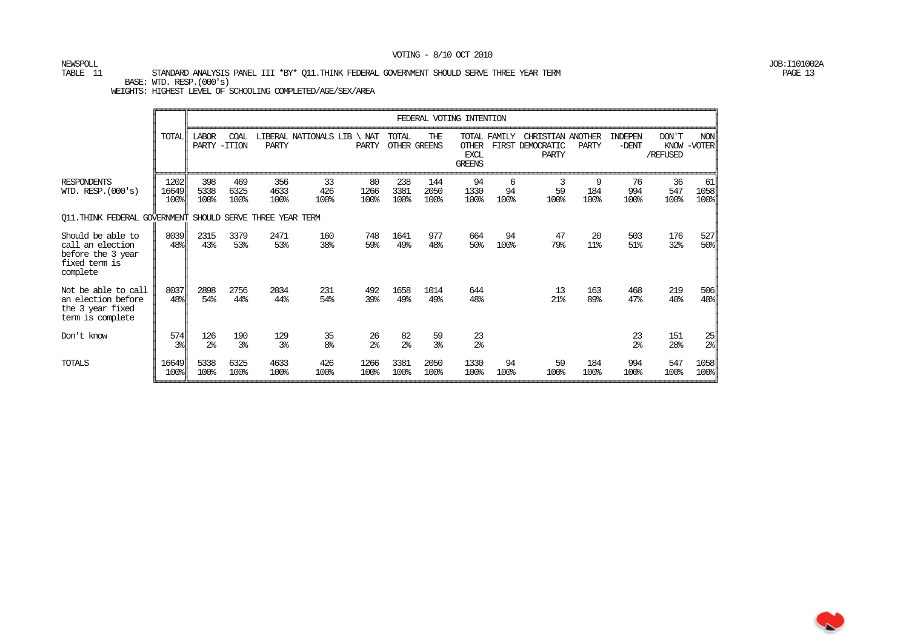NEWSPOLL JOB:I101002A

#### TABLE 11 STANDARD ANALYSIS PANEL III \*BY\* O11.THINK FEDERAL GOVERNMENT SHOULD SERVE THREE YEAR TERM BASE: WTD. RESP.(000's)

|                                                                                         |                                           |                               |                       |                       |                       |                      |                      |                            | FEDERAL VOTING INTENTION                     |                 |                                                       |                  |                      |                        |                                                 |
|-----------------------------------------------------------------------------------------|-------------------------------------------|-------------------------------|-----------------------|-----------------------|-----------------------|----------------------|----------------------|----------------------------|----------------------------------------------|-----------------|-------------------------------------------------------|------------------|----------------------|------------------------|-------------------------------------------------|
|                                                                                         | TOTAL                                     | <b>LABOR</b><br>PARTY - ITION | COAL                  | PARTY                 | LIBERAL NATIONALS LIB | NAT<br>PARTY         | TOTAL                | THE<br><b>OTHER GREENS</b> | <b>OTHER</b><br><b>EXCL</b><br><b>GREENS</b> | TOTAL FAMILY    | CHRISTIAN ANOTHER<br>FIRST DEMOCRATIC<br><b>PARTY</b> | PARTY            | INDEPEN<br>$-DENT$   | DON'T<br>/REFUSED      | NON<br>KNOW -VOTER                              |
| <b>RESPONDENTS</b><br>WID. RESP. $(000's)$                                              | 1202<br>16649<br>100%                     | 398<br>5338<br>100%           | 469<br>6325<br>100%   | 356<br>4633<br>100%   | 33<br>426<br>100%     | 80<br>1266<br>100%   | 238<br>3381<br>100%  | 144<br>2050<br>100%        | 94<br>1330<br>100%                           | 6<br>94<br>100% | 3<br>59<br>100%                                       | 9<br>184<br>100% | 76<br>994<br>100%    | 36<br>547<br>100%      | 61<br>1058<br>$100$ <sup>s</sup>                |
| Q11. THINK FEDERAL GOVERNMENT SHOULD                                                    |                                           |                               |                       | SERVE THREE YEAR TERM |                       |                      |                      |                            |                                              |                 |                                                       |                  |                      |                        |                                                 |
| Should be able to<br>call an election<br>before the 3 year<br>fixed term is<br>complete | 8039<br>$48$ %                            | 2315<br>43%                   | 3379<br>53%           | 2471<br>53%           | 160<br>38%            | 748<br>59%           | 1641<br>49%          | 977<br>48%                 | 664<br>50%                                   | 94<br>100%      | 47<br>79%                                             | 20<br>11%        | 503<br>51%           | 176<br>32%             | 527<br>$50$ <sup>8</sup>                        |
| Not be able to call<br>an election before<br>the 3 year fixed<br>term is complete       | 8037<br>$48$ l                            | 2898<br>54%                   | 2756<br>44%           | 2034<br>44%           | 231<br>54%            | 492<br>39%           | 1658<br>49%          | 1014<br>49%                | 644<br>48%                                   |                 | 13<br>$21$ %                                          | 163<br>89%       | 468<br>47%           | 219<br>40 <sup>°</sup> | 506<br>$48$ <sup><math>\frac{1}{2}</math></sup> |
| Don't know                                                                              | $\begin{bmatrix} 574 \\ 38 \end{bmatrix}$ | 126<br>2 <sup>°</sup>         | 190<br>3 <sup>°</sup> | 129<br>3 <sup>8</sup> | 35<br>8 <sup>°</sup>  | 26<br>2 <sup>°</sup> | 82<br>2 <sup>°</sup> | 59<br>3 <sup>°</sup>       | 23<br>2 <sup>°</sup>                         |                 |                                                       |                  | 23<br>2 <sup>°</sup> | 151<br>28%             | $\frac{25}{2}$                                  |
| TOTALS                                                                                  | 16649<br>100%                             | 5338<br>100%                  | 6325<br>100%          | 4633<br>100%          | 426<br>100%           | 1266<br>100%         | 3381<br>100%         | 2050<br>100%               | 1330<br>100%                                 | 94<br>100%      | 59<br>100%                                            | 184<br>100%      | 994<br>100%          | 547<br>100%            | 1058<br>$100$ <sup>8</sup>                      |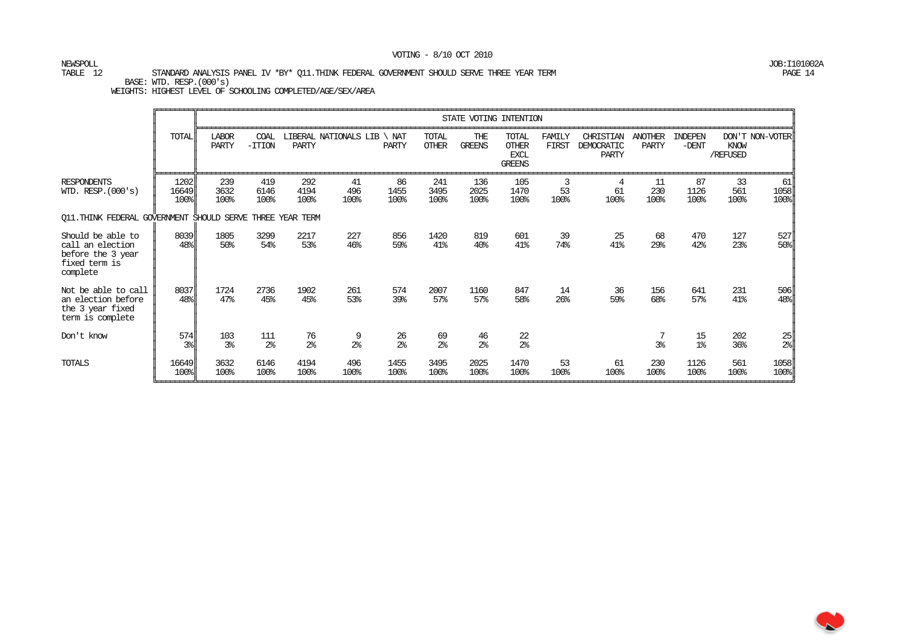NEWSPOLL JOB:I101002A

#### TABLE 12 STANDARD ANALYSIS PANEL IV \*BY\* Q11.THINK FEDERAL GOVERNMENT SHOULD SERVE THREE YEAR TERM PAGE 14 PAGE 14 BASE: WTD. RESP.(000's)

|                                                                                         |                       |                       |                       |                      |                       |                      |                       | STATE VOTING INTENTION |                                                       |                       |                                  |                         |                      |                   |                    |
|-----------------------------------------------------------------------------------------|-----------------------|-----------------------|-----------------------|----------------------|-----------------------|----------------------|-----------------------|------------------------|-------------------------------------------------------|-----------------------|----------------------------------|-------------------------|----------------------|-------------------|--------------------|
|                                                                                         | <b>TOTAL</b>          | <b>LABOR</b><br>PARTY | COAL<br>$-TTION$      | <b>PARTY</b>         | LIBERAL NATIONALS LIB | NAT<br>PARTY         | TOTAL<br><b>OTHER</b> | THE<br><b>GREENS</b>   | TOTAL<br><b>OTHER</b><br><b>EXCL</b><br><b>GREENS</b> | FAMILY<br>FIRST       | CHRISTIAN<br>DEMOCRATIC<br>PARTY | <b>ANOTHER</b><br>PARTY | INDEPEN<br>$-DENT$   | KNOW<br>/REFUSED  | DON'T NON-VOTER    |
| <b>RESPONDENTS</b><br>WID. RESP. $(000's)$                                              | 1202<br>16649<br>100% | 239<br>3632<br>100%   | 419<br>6146<br>100%   | 292<br>4194<br>100%  | 41<br>496<br>100%     | 86<br>1455<br>100%   | 241<br>3495<br>100%   | 136<br>2025<br>100%    | 105<br>1470<br>100%                                   | 3<br>53<br>100%       | 4<br>61<br>100%                  | 11<br>230<br>100%       | 87<br>1126<br>100%   | 33<br>561<br>100% | 61<br>1058<br>100% |
| Q11.THINK FEDERAL GOVERNMENT SHOULD SERVE THREE YEAR TERM                               |                       |                       |                       |                      |                       |                      |                       |                        |                                                       |                       |                                  |                         |                      |                   |                    |
| Should be able to<br>call an election<br>before the 3 year<br>fixed term is<br>complete | 8039<br>48%           | 1805<br>50%           | 3299<br>54%           | 2217<br>53%          | 227<br>46%            | 856<br>59%           | 1420<br>41%           | 819<br>40%             | 601<br>41%                                            | 39<br>74%             | 25<br>41%                        | 68<br>29%               | 470<br>42%           | 127<br>23%        | 527<br>50%         |
| Not be able to call<br>an election before<br>the 3 year fixed<br>term is complete       | 8037<br>48%           | 1724<br>47%           | 2736<br>45%           | 1902<br>45%          | 261<br>53%            | 574<br>39%           | 2007<br>57%           | 1160<br>57%            | 847<br>58%                                            | 14<br>26 <sup>°</sup> | 36<br>59%                        | 156<br>68%              | 641<br>57%           | 231<br>41%        | 506<br>48%         |
| Don't know                                                                              | 574<br>3%             | 103<br>3 <sup>°</sup> | 111<br>2 <sup>°</sup> | 76<br>2 <sup>°</sup> | 9<br>2 <sup>°</sup>   | 26<br>$2\frac{6}{5}$ | 69<br>2 <sup>8</sup>  | 46<br>2 <sup>°</sup>   | 22<br>2 <sup>°</sup>                                  |                       |                                  | 3%                      | 15<br>1 <sup>°</sup> | 202<br>36%        | $rac{25}{2}$       |
| TOTALS                                                                                  | 16649<br>100%         | 3632<br>100%          | 6146<br>100%          | 4194<br>100%         | 496<br>100%           | 1455<br>100%         | 3495<br>100%          | 2025<br>100%           | 1470<br>100%                                          | 53<br>100%            | 61<br>100%                       | 230<br>100%             | 1126<br>100%         | 561<br>100%       | 1058<br>100%       |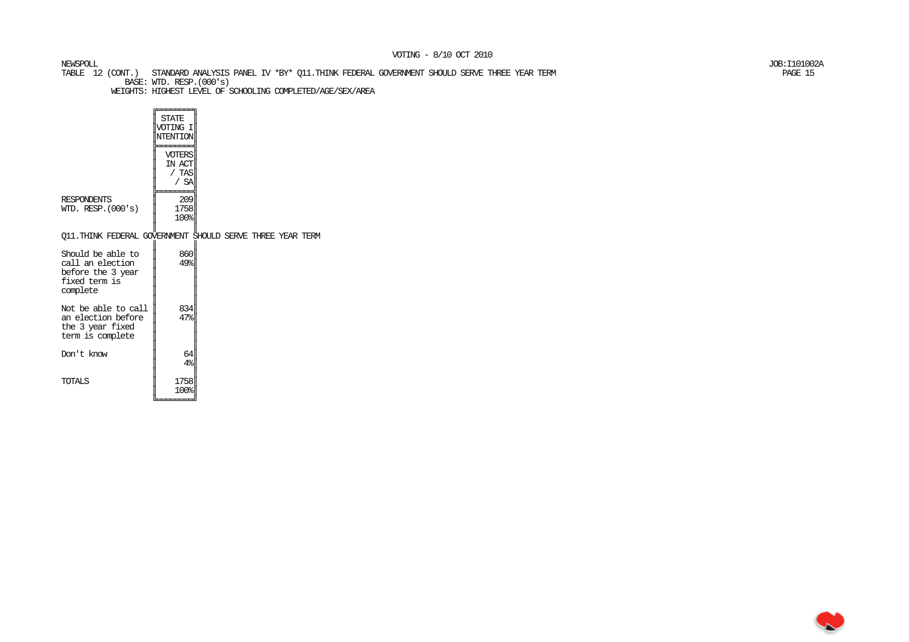TABLE 12 (CONT.) STANDARD ANALYSIS PANEL IV \*BY\* Q11.THINK FEDERAL GOVERNMENT SHOULD SERVE THREE YEAR TERM PAGE 15 BASE: WTD. RESP.(000's)

NEWSPOLL JOB:I101002A

|                                                                                         | <b>STATE</b><br>VOTING I<br>NTENTION<br>VOTERS<br>IN ACT<br>/ TAS<br>/ SA |  |  |  |
|-----------------------------------------------------------------------------------------|---------------------------------------------------------------------------|--|--|--|
| <b>RESPONDENTS</b><br>WID. RESP. $(000's)$                                              | 209<br>1758<br>100%                                                       |  |  |  |
| Q11. THINK FEDERAL GOVERNMENT SHOULD SERVE THREE YEAR TERM                              |                                                                           |  |  |  |
| Should be able to<br>call an election<br>before the 3 year<br>fixed term is<br>complete | 860<br>49%                                                                |  |  |  |
| Not be able to call<br>an election before<br>the 3 year fixed<br>term is complete       | 834<br>47%                                                                |  |  |  |
| Don't know                                                                              | 64<br>4 <sup>°</sup>                                                      |  |  |  |
| TOTAL S                                                                                 | 1758<br>100%                                                              |  |  |  |

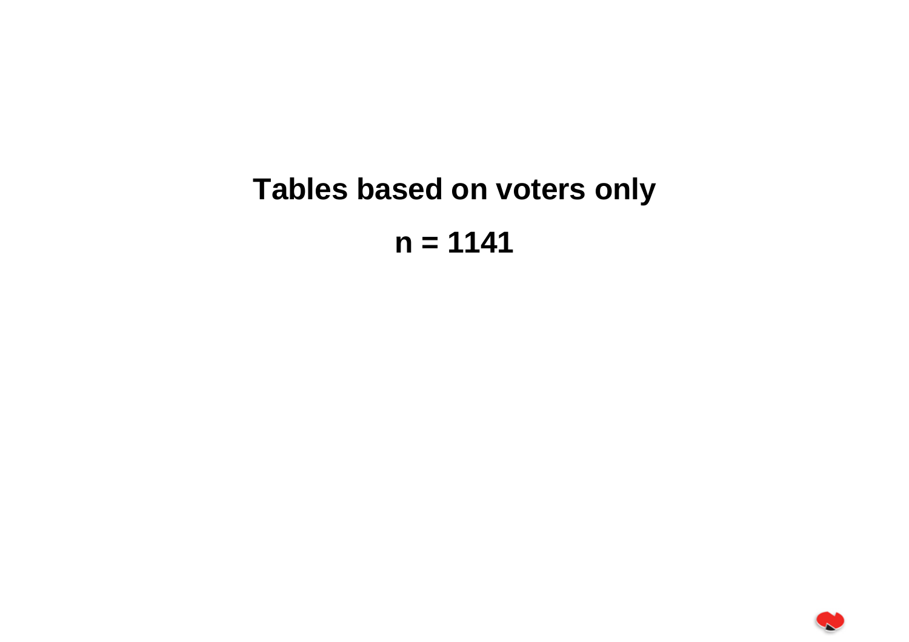# **Tables based on voters only n = 1141**

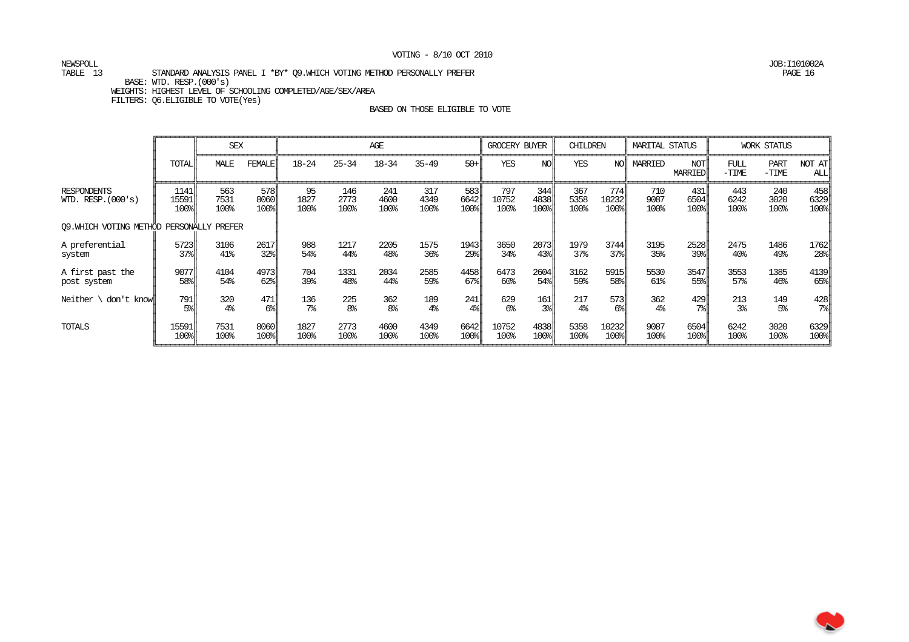NEWSPOLL JOB:I101002A

#### TABLE 13 STANDARD ANALYSIS PANEL I \*BY\* 09.WHICH VOTING METHOD PERSONALLY PREFER BASE: WTD. RESP.(000's) WEIGHTS: HIGHEST LEVEL OF SCHOOLING COMPLETED/AGE/SEX/AREA

FILTERS: Q6.ELIGIBLE TO VOTE(Yes)

|                                            |                       | <b>SEX</b>          |                     |                    |                     | AGE                 |                     |                     | <b>GROCERY BUYER</b> |                     | CHILDREN            |                                     | <b>MARITAL STATUS</b> |                     |                     | <b>WORK STATUS</b>     |                     |
|--------------------------------------------|-----------------------|---------------------|---------------------|--------------------|---------------------|---------------------|---------------------|---------------------|----------------------|---------------------|---------------------|-------------------------------------|-----------------------|---------------------|---------------------|------------------------|---------------------|
|                                            | <b>TOTAL</b>          | MALE                | <b>FEMALE</b>       | $18 - 24$          | $25 - 34$           | $18 - 34$           | $35 - 49$           | $50+$               | YES                  | NO.                 | YES                 | NO                                  | MARRIED               | NOT<br>MARRIED      | FULL<br>$-TIME$     | <b>PART</b><br>$-TIME$ | NOT AT<br>ALL       |
| <b>RESPONDENTS</b><br>WID. RESP. $(000's)$ | 1141<br>15591<br>100% | 563<br>7531<br>100% | 578<br>8060<br>100% | 95<br>1827<br>100% | 146<br>2773<br>100% | 241<br>4600<br>100% | 317<br>4349<br>100% | 583<br>6642<br>100% | 797<br>10752<br>100% | 344<br>4838<br>100% | 367<br>5358<br>100% | 774I<br>10232<br>$100$ <sup>s</sup> | 710<br>9087<br>100%   | 431<br>6504<br>100% | 443<br>6242<br>100% | 240<br>3020<br>100%    | 458<br>6329<br>100% |
| 09. WHICH VOTING METHOD PERSONALLY PREFER  |                       |                     |                     |                    |                     |                     |                     |                     |                      |                     |                     |                                     |                       |                     |                     |                        |                     |
| A preferential                             | 5723                  | 3106                | 2617                | 988                | 1217                | 2205                | 1575                | 1943                | 3650                 | 2073                | 1979                | 3744                                | 3195                  | 2528                | 2475                | 1486                   | 1762                |
| system                                     | 37%                   | 41%                 | 32%                 | 54%                | 44%                 | 48%                 | 36%                 | 29%                 | 34%                  | 43%                 | 37%                 | 37%                                 | 35%                   | 39%                 | 40 <sup>°</sup>     | 49%                    | $28$                |
| A first past the                           | 9077                  | 4104                | 4973                | 704                | 1331                | 2034                | 2585                | 4458                | 6473                 | 2604                | 3162                | 5915                                | 5530                  | 3547                | 3553                | 1385                   | 4139                |
| post system                                | 58%                   | 54%                 | 62%                 | 39%                | 48%                 | 44%                 | 59%                 | $67$ %              | 60%                  | 54%                 | 59%                 | 58%                                 | 61%                   | 55%                 | 57%                 | 46%                    | $65$ <sup>s</sup>   |
| Neither $\setminus$                        | 791                   | 320                 | 471                 | 136                | 225                 | 362                 | 189                 | 241                 | 629                  | 161                 | 217                 | 573                                 | 362                   | 429                 | 213                 | 149                    | 428                 |
| don't knowll                               | $5\%$                 | 4 <sup>°</sup>      | $6\%$               | 7 <sup>°</sup>     | 8 <sup>°</sup>      | 8 <sup>°</sup>      | 4 <sup>°</sup>      | $4\%$               | 6 <sup>°</sup>       | 3 <sup>8</sup>      | 4 <sup>°</sup>      | 6 <sup>°</sup>                      | 4 <sup>°</sup>        | 7 <sup>°</sup>      | 3 <sup>°</sup>      | 5%                     | $7\$                |
| TOTALS                                     | 15591                 | 7531                | 8060                | 1827               | 2773                | 4600                | 4349                | 6642                | 10752                | 4838                | 5358                | 10232                               | 9087                  | 6504                | 6242                | 3020                   | 6329                |
|                                            | 100%                  | 100%                | 100%                | 100%               | 100%                | 100%                | 100%                | 100%                | 100%                 | 100%                | 100%                | 100%                                | 100%                  | 100%                | 100%                | 100%                   | 100%                |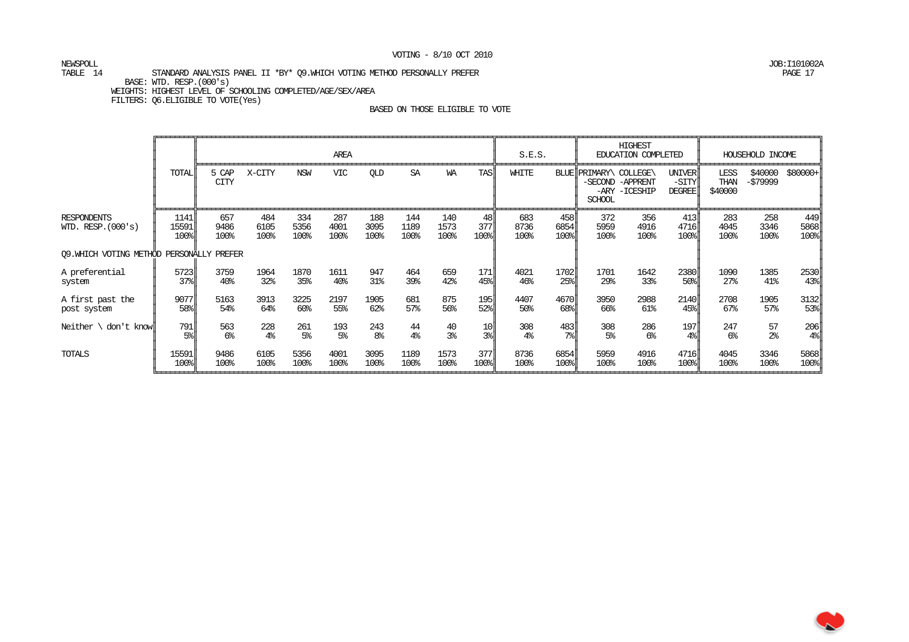NEWSPOLL JOB:I101002A

#### TABLE 14 STANDARD ANALYSIS PANEL II \*BY\* 09.WHICH VOTING METHOD PERSONALLY PREFER PAGE 17 BASE: WTD. RESP.(000's) WEIGHTS: HIGHEST LEVEL OF SCHOOLING COMPLETED/AGE/SEX/AREA FILTERS: Q6.ELIGIBLE TO VOTE(Yes)

|                                           |                       |                      |                     |                     | AREA                |                     |                     |                     |                   | S.E.S.              |                                   |                                         | <b>HIGHEST</b><br>EDUCATION COMPLETED |                                                          |                         | HOUSEHOLD INCOME    |                     |
|-------------------------------------------|-----------------------|----------------------|---------------------|---------------------|---------------------|---------------------|---------------------|---------------------|-------------------|---------------------|-----------------------------------|-----------------------------------------|---------------------------------------|----------------------------------------------------------|-------------------------|---------------------|---------------------|
|                                           | TOTAL                 | 5 CAP<br><b>CITY</b> | X-CITY              | <b>NSW</b>          | <b>VIC</b>          | QLD                 | SA                  | WA                  | TAS               | WHITE               |                                   | BLUE PRIMARY\ COLLEGE\<br><b>SCHOOL</b> | -SECOND -APPRENT<br>-ARY -ICESHIP     | <b>UNIVER</b><br>$-SITY$<br><b>DEGREE</b>                | LESS<br>THAN<br>\$40000 | \$40000<br>-\$79999 | $$80000+$           |
| <b>RESPONDENTS</b><br>WID. $RESP.(000's)$ | 1141<br>15591<br>100% | 657<br>9486<br>100%  | 484<br>6105<br>100% | 334<br>5356<br>100% | 287<br>4001<br>100% | 188<br>3095<br>100% | 144<br>1189<br>100% | 140<br>1573<br>100% | 48<br>377<br>100% | 683<br>8736<br>100% | 458<br>6854<br>$100$ <sup>8</sup> | 372<br>5959<br>100%                     | 356<br>4916<br>100%                   | 413<br>4716<br>$100$ <sup><math>\frac{1}{2}</math></sup> | 283<br>4045<br>100%     | 258<br>3346<br>100% | 449<br>5868<br>100% |
| 09. WHICH VOTING METHOD PERSONALLY PREFER |                       |                      |                     |                     |                     |                     |                     |                     |                   |                     |                                   |                                         |                                       |                                                          |                         |                     |                     |
| A preferential                            | 5723                  | 3759                 | 1964                | 1870                | 1611                | 947                 | 464                 | 659                 | 171               | 4021                | 1702                              | 1701                                    | 1642                                  | 2380                                                     | 1090                    | 1385                | 2530                |
| system                                    | 37%                   | 40 <sup>°</sup>      | 32%                 | 35%                 | 40 <sup>°</sup>     | 31%                 | 39%                 | 42%                 | 45%               | 46%                 | $25$ <sup>8</sup>                 | 29%                                     | 33%                                   | 50%                                                      | 27%                     | $41\%$              | $43$ <sup>8</sup>   |
| A first past the                          | 9077                  | 5163                 | 3913                | 3225                | 2197                | 1905                | 681                 | 875                 | 195               | 4407                | 4670                              | 3950                                    | 2988                                  | 2140                                                     | 2708                    | 1905                | 3132                |
| post system                               | 58%                   | 54%                  | 64%                 | 60%                 | 55%                 | 62%                 | 57%                 | 56%                 | 52%               | 50%                 | 68%ll                             | 66%                                     | 61%                                   | 45%                                                      | 67%                     | 57%                 | $53$ <sup>8</sup>   |
| Neither $\setminus$ don't knowl           | 791                   | 563                  | 228                 | 261                 | 193                 | 243                 | 44                  | 40                  | 10                | 308                 | 483                               | 308                                     | 286                                   | 197                                                      | 247                     | 57                  | 206                 |
|                                           | 5%                    | 6 <sup>°</sup>       | 4 <sup>°</sup>      | 5 <sup>°</sup>      | 5 <sup>°</sup>      | 8 <sup>°</sup>      | 4 <sup>°</sup>      | 3 <sup>°</sup>      | $3\%$             | 4 <sup>°</sup>      | $7\$                              | 5 <sup>°</sup>                          | 6 <sup>°</sup>                        | $4\%$                                                    | 6%                      | 2 <sup>°</sup>      | $4\%$               |
| TOTALS                                    | 15591                 | 9486                 | 6105                | 5356                | 4001                | 3095                | 1189                | 1573                | 377               | 8736                | 6854                              | 5959                                    | 4916                                  | 4716                                                     | 4045                    | 3346                | 5868                |
|                                           | 100%                  | 100%                 | 100%                | 100%                | 100%                | 100%                | 100%                | 100%                | 100%              | 100%                | 100%                              | 100%                                    | 100%                                  | 100%                                                     | 100%                    | 100%                | 100%                |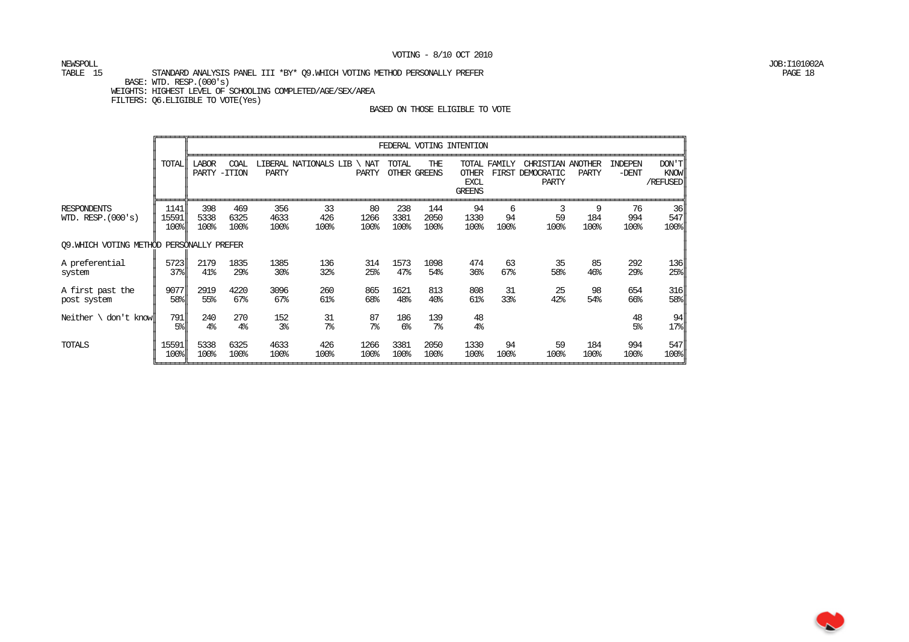NEWSPOLL JOB:I101002A

#### TABLE 15 STANDARD ANALYSIS PANEL III \*BY\* 09.WHICH VOTING METHOD PERSONALLY PREFER BASE: WTD. RESP.(000's) WEIGHTS: HIGHEST LEVEL OF SCHOOLING COMPLETED/AGE/SEX/AREA FILTERS: Q6.ELIGIBLE TO VOTE(Yes)

|                                            |                       |                       |                       |                         |                       |                      |                         |                        | FEDERAL VOTING INTENTION                     |                 |                                                |                  |                    |                                  |
|--------------------------------------------|-----------------------|-----------------------|-----------------------|-------------------------|-----------------------|----------------------|-------------------------|------------------------|----------------------------------------------|-----------------|------------------------------------------------|------------------|--------------------|----------------------------------|
|                                            | TOTAL                 | <b>LABOR</b><br>PARTY | COAL<br>$-TTION$      | PARTY                   | LIBERAL NATIONALS LIB | NAT<br>PARTY         | TOTAL                   | THE<br>OTHER GREENS    | <b>OTHER</b><br><b>EXCL</b><br><b>GREENS</b> | TOTAL FAMILY    | CHRISTIAN ANOTHER<br>FIRST DEMOCRATIC<br>PARTY | PARTY            | INDEPEN<br>$-DENT$ | DON'T<br><b>KNOW</b><br>/REFUSED |
| <b>RESPONDENTS</b><br>WID. RESP. $(000's)$ | 1141<br>15591<br>100% | 398<br>5338<br>100%   | 469<br>6325<br>100%   | 356<br>4633<br>100%     | 33<br>426<br>100%     | 80<br>1266<br>100%   | 238<br>3381<br>100%     | 144<br>2050<br>100%    | 94<br>1330<br>100%                           | 6<br>94<br>100% | 3<br>59<br>100%                                | 9<br>184<br>100% | 76<br>994<br>100%  | 36<br>547<br>100%                |
| 09. WHICH VOTING METHOD                    |                       | PERSONALLY PREFER     |                       |                         |                       |                      |                         |                        |                                              |                 |                                                |                  |                    |                                  |
| A preferential<br>system                   | 5723<br>37%           | 2179<br>41%           | 1835<br>29%           | 1385<br>30 <sub>8</sub> | 136<br>32%            | 314<br>25%           | 1573<br>47%             | 1098<br>54%            | 474<br>36%                                   | 63<br>67%       | 35<br>58%                                      | 85<br>46%        | 292<br>29%         | 136<br>$25$ <sup>8</sup>         |
| A first past the<br>post system            | 9077<br>58            | 2919<br>55%           | 4220<br>67%           | 3096<br>$67\%$          | 260<br>61%            | 865<br>68%           | 1621<br>48 <sup>°</sup> | 813<br>40 <sub>8</sub> | 808<br>61%                                   | 31<br>33%       | 25<br>42%                                      | 98<br>54%        | 654<br>66%         | 316<br>58                        |
| Neither $\cdot$ don't know                 | 791<br>$5\%$          | 240<br>4 <sup>°</sup> | 270<br>4 <sup>°</sup> | 152<br>3 <sup>°</sup>   | 31<br>7 <sup>°</sup>  | 87<br>7 <sup>°</sup> | 186<br>6 <sup>°</sup>   | 139<br>7 <sup>°</sup>  | 48<br>4 <sup>°</sup>                         |                 |                                                |                  | 48<br>5%           | 94<br>$17$ $\epsilon$            |
| TOTALS                                     | 15591<br>100%         | 5338<br>100%          | 6325<br>100%          | 4633<br>100%            | 426<br>100%           | 1266<br>100%         | 3381<br>100%            | 2050<br>100%           | 1330<br>100%                                 | 94<br>100%      | 59<br>100%                                     | 184<br>100%      | 994<br>100%        | 547<br>100%                      |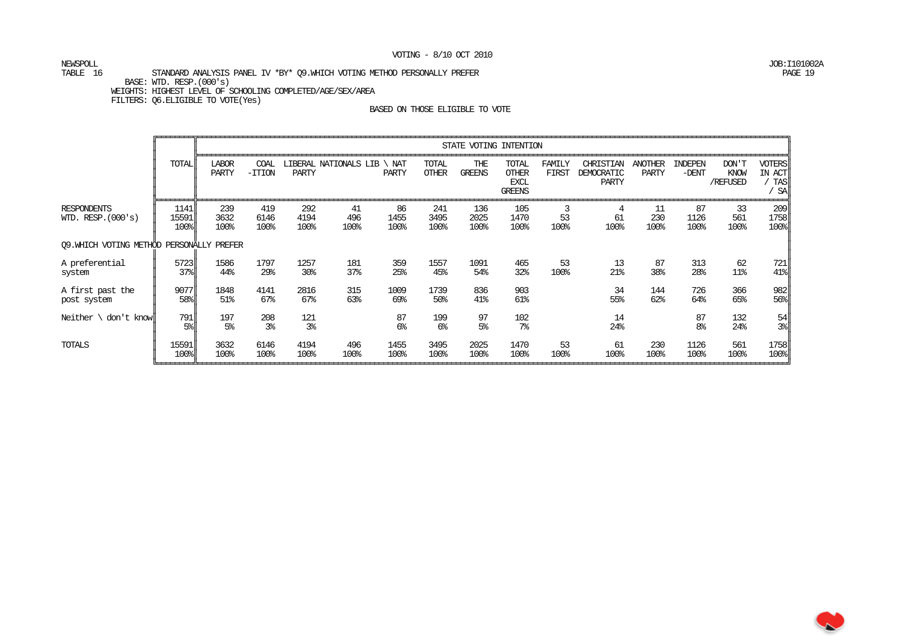# NEWSPOLL JOB:I101002A

#### TABLE 16 STANDARD ANALYSIS PANEL IV \*BY\* 09.WHICH VOTING METHOD PERSONALLY PREFER BASE: WTD. RESP.(000's) WEIGHTS: HIGHEST LEVEL OF SCHOOLING COMPLETED/AGE/SEX/AREA FILTERS: Q6.ELIGIBLE TO VOTE(Yes)

|                                            |                                                  |                       |                       |                       |                       |                      |                       | STATE VOTING INTENTION |                                                              |                 |                                         |                         |                      |                                |                                             |
|--------------------------------------------|--------------------------------------------------|-----------------------|-----------------------|-----------------------|-----------------------|----------------------|-----------------------|------------------------|--------------------------------------------------------------|-----------------|-----------------------------------------|-------------------------|----------------------|--------------------------------|---------------------------------------------|
|                                            | <b>TOTAL</b>                                     | <b>LABOR</b><br>PARTY | COAL<br>$-TTION$      | <b>PARTY</b>          | LIBERAL NATIONALS LIB | \ NAT<br>PARTY       | TOTAL<br><b>OTHER</b> | THE<br>GREENS          | <b>TOTAL</b><br><b>OTHER</b><br><b>EXCL</b><br><b>GREENS</b> | FAMILY<br>FIRST | CHRISTIAN<br>DEMOCRATIC<br><b>PARTY</b> | <b>ANOTHER</b><br>PARTY | INDEPEN<br>$-DENT$   | $DON'$ $T$<br>KNOW<br>/REFUSED | <b>VOTERS</b><br>IN ACT<br><b>TAS</b><br>SA |
| <b>RESPONDENTS</b><br>WID. RESP. $(000's)$ | 1141<br>15591<br>100%                            | 239<br>3632<br>100%   | 419<br>6146<br>100%   | 292<br>4194<br>100%   | 41<br>496<br>100%     | 86<br>1455<br>100%   | 241<br>3495<br>100%   | 136<br>2025<br>100%    | 105<br>1470<br>100%                                          | 3<br>53<br>100% | 4<br>61<br>100%                         | 11<br>230<br>100%       | 87<br>1126<br>100%   | 33<br>561<br>100%              | 209<br>1758<br>$100$ <sup>s</sup>           |
| 09. WHICH VOTING METHOD PERSONALLY PREFER  |                                                  |                       |                       |                       |                       |                      |                       |                        |                                                              |                 |                                         |                         |                      |                                |                                             |
| A preferential<br>system                   | 5723<br>$37$ <sup><math>\textdegree</math></sup> | 1586<br>44%           | 1797<br>29%           | 1257<br>30%           | 181<br>37%            | 359<br>25%           | 1557<br>45%           | 1091<br>54%            | 465<br>32%                                                   | 53<br>100%      | 13<br>21%                               | 87<br>38%               | 313<br>28%           | 62<br>$11\%$                   | 721<br>$41$ <sup>8</sup>                    |
| A first past the<br>post system            | 9077<br>$58$                                     | 1848<br>51%           | 4141<br>67%           | 2816<br>67%           | 315<br>63%            | 1009<br>69%          | 1739<br>50%           | 836<br>41%             | 903<br>61%                                                   |                 | 34<br>55%                               | 144<br>62%              | 726<br>64%           | 366<br>65%                     | 982<br>$56$ <sup>8</sup>                    |
| Neither $\setminus$ don't know $\parallel$ | 791  <br>$5\%$                                   | 197<br>5 <sup>°</sup> | 208<br>3 <sup>°</sup> | 121<br>3 <sup>°</sup> |                       | 87<br>6 <sup>°</sup> | 199<br>6 <sup>°</sup> | 97<br>5 <sup>°</sup>   | 102<br>7 <sup>°</sup>                                        |                 | 14<br>24%                               |                         | 87<br>8 <sup>°</sup> | 132<br>24%                     | 54<br>$3\%$                                 |
| TOTALS                                     | 15591<br>100%                                    | 3632<br>100%          | 6146<br>100%          | 4194<br>100%          | 496<br>100%           | 1455<br>100%         | 3495<br>100%          | 2025<br>100%           | 1470<br>100%                                                 | 53<br>100%      | 61<br>100%                              | 230<br>100%             | 1126<br>100%         | 561<br>100%                    | 1758<br>$100$ <sup>s</sup>                  |

∼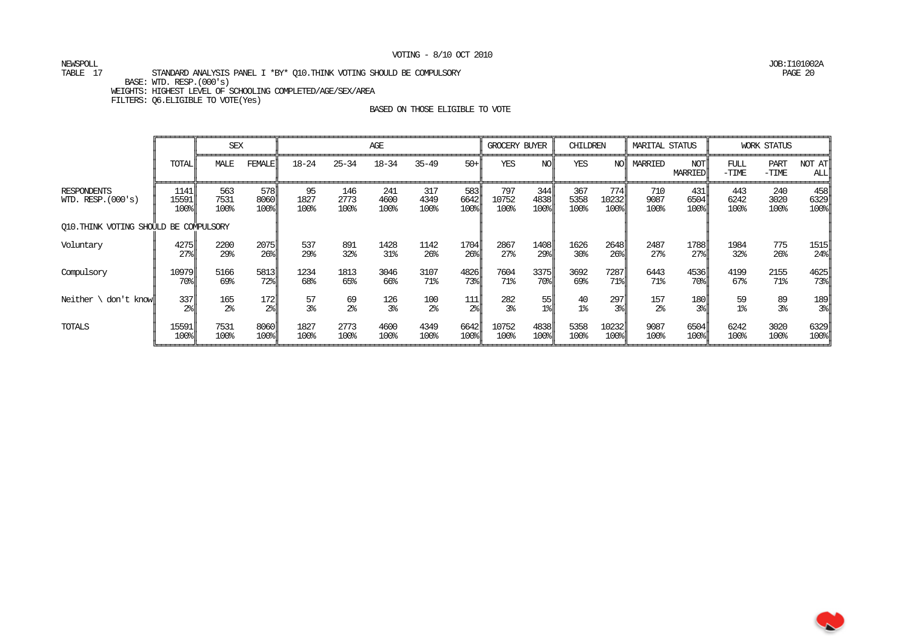NEWSPOLL JOB:I101002A

### TABLE 17 STANDARD ANALYSIS PANEL I \*BY\* Q10.THINK VOTING SHOULD BE COMPULSORY PAGE 20 BASE: WTD. RESP.(000's) WEIGHTS: HIGHEST LEVEL OF SCHOOLING COMPLETED/AGE/SEX/AREA

FILTERS: Q6.ELIGIBLE TO VOTE(Yes)

|                                            |                       | <b>SEX</b>          |                       |                    |                     | AGE                 |                     |                     | GROCERY BUYER        |                     | CHILDREN            |                                     | <b>MARITAL STATUS</b> |                     |                     | <b>WORK STATUS</b>     |                                                          |
|--------------------------------------------|-----------------------|---------------------|-----------------------|--------------------|---------------------|---------------------|---------------------|---------------------|----------------------|---------------------|---------------------|-------------------------------------|-----------------------|---------------------|---------------------|------------------------|----------------------------------------------------------|
|                                            | <b>TOTAL</b>          | MALE                | <b>FEMALE</b>         | $18 - 24$          | $25 - 34$           | $18 - 34$           | $35 - 49$           | $50+$               | YES                  | NO                  | YES                 | NO <sub>I</sub>                     | MARRIED               | NOT<br>MARRIED      | FULL<br>$-TIME$     | <b>PART</b><br>$-TIME$ | NOT AT<br>ALL                                            |
| <b>RESPONDENTS</b><br>WID. RESP. $(000's)$ | 1141<br>15591<br>100% | 563<br>7531<br>100% | 578ll<br>8060<br>100% | 95<br>1827<br>100% | 146<br>2773<br>100% | 241<br>4600<br>100% | 317<br>4349<br>100% | 583<br>6642<br>100% | 797<br>10752<br>100% | 344<br>4838<br>100% | 367<br>5358<br>100% | 774I<br>10232<br>$100$ <sup>s</sup> | 710<br>9087<br>100%   | 431<br>6504<br>100% | 443<br>6242<br>100% | 240<br>3020<br>100%    | 458<br>6329<br>$100$ <sup><math>\frac{1}{2}</math></sup> |
| O10. THINK VOTING SHOULD BE COMPULSORY     |                       |                     |                       |                    |                     |                     |                     |                     |                      |                     |                     |                                     |                       |                     |                     |                        |                                                          |
| Voluntary                                  | 4275                  | 2200                | 2075                  | 537                | 891                 | 1428                | 1142                | 1704                | 2867                 | 1408                | 1626                | 2648                                | 2487                  | 1788                | 1984                | 775                    | 1515                                                     |
|                                            | 27 <sub>8</sub>       | 29%                 | 26 <sup>8</sup>       | 29%                | 32%                 | 31%                 | 26 <sup>°</sup>     | 26 <sup>8</sup>     | 27 <sup>8</sup>      | 29%                 | 30 <sup>8</sup>     | 26 <sup>8</sup>                     | 27 <sup>o</sup>       | 27 <sub>8</sub>     | 32%                 | 26 <sup>°</sup>        | $24$ <sup>s</sup>                                        |
| Compulsory                                 | 10979                 | 5166                | 5813                  | 1234               | 1813                | 3046                | 3107                | 4826                | 7604                 | 3375                | 3692                | 7287                                | 6443                  | 4536                | 4199                | 2155                   | 4625                                                     |
|                                            | $70$ <sup>s</sup>     | 69%                 | 72%                   | 68%                | 65%                 | 66%                 | 71%                 | $73$ l              | 71%                  | 70%                 | 69%                 | 71%                                 | 71%                   | 70%                 | 67%                 | 71%                    | $73$ <sup><math>\frac{1}{6}</math></sup>                 |
| Neither $\setminus$                        | 337                   | 165                 | 172                   | 57                 | 69                  | 126                 | 100                 | 111                 | 282                  | 55                  | 40                  | 297                                 | 157                   | 180                 | 59                  | 89                     | 189                                                      |
| don't knowll                               | $2\frac{6}{5}$        | 2 <sup>°</sup>      | $2\frac{6}{5}$        | 3 <sup>°</sup>     | $2\frac{6}{5}$      | 3 <sup>°</sup>      | 2 <sup>°</sup>      | $2\frac{6}{10}$     | 3%                   | $1$ $\frac{8}{3}$   | 1 <sup>°</sup>      | 3 <sup>°</sup>                      | 2 <sup>°</sup>        | $3\%$               | 1 <sup>°</sup>      | 3 <sup>°</sup>         | $3\frac{8}{3}$                                           |
| TOTALS                                     | 15591                 | 7531                | 8060                  | 1827               | 2773                | 4600                | 4349                | 6642                | 10752                | 4838                | 5358                | 10232                               | 9087                  | 6504                | 6242                | 3020                   | 6329                                                     |
|                                            | 100%                  | 100%                | 100%                  | 100%               | 100%                | 100%                | 100%                | 100%                | 100%                 | 100%                | 100%                | 100%                                | 100%                  | 100%                | 100%                | 100%                   | 100%                                                     |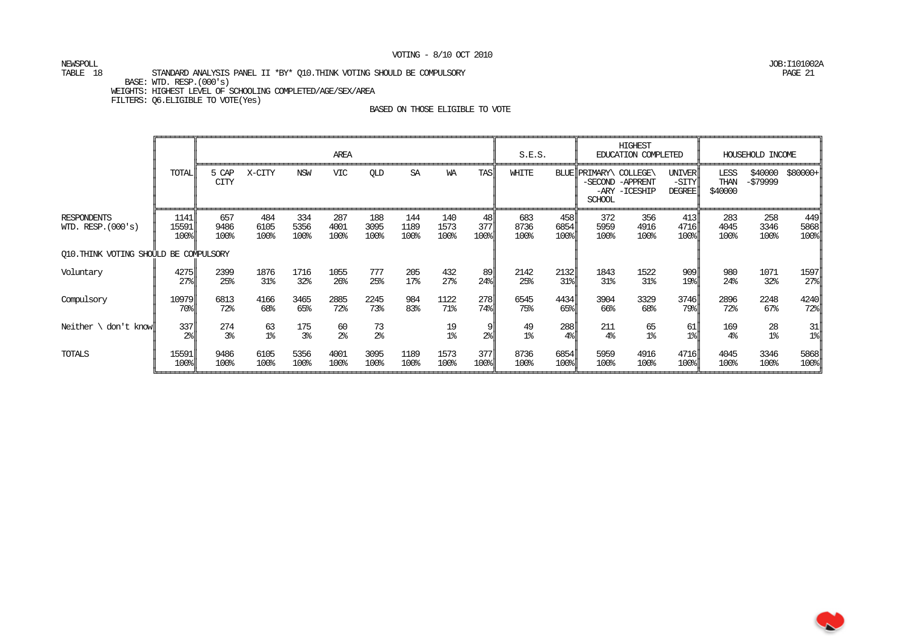NEWSPOLL JOB:I101002A

#### TABLE 18 STANDARD ANALYSIS PANEL II \*BY\* Q10.THINK VOTING SHOULD BE COMPULSORY PAGE 21 BASE: WTD. RESP.(000's) WEIGHTS: HIGHEST LEVEL OF SCHOOLING COMPLETED/AGE/SEX/AREA FILTERS: Q6.ELIGIBLE TO VOTE(Yes)

|                                            |                         |                       |                      |                     | AREA                    |                      |                     |                        |                   | S.E.S.               |                       |                                         | <b>HIGHEST</b><br>EDUCATION COMPLETED |                                                          |                         | HOUSEHOLD INCOME     |                                                  |
|--------------------------------------------|-------------------------|-----------------------|----------------------|---------------------|-------------------------|----------------------|---------------------|------------------------|-------------------|----------------------|-----------------------|-----------------------------------------|---------------------------------------|----------------------------------------------------------|-------------------------|----------------------|--------------------------------------------------|
|                                            | <b>TOTAL</b>            | 5 CAP<br><b>CITY</b>  | X-CITY               | NSW                 | <b>VIC</b>              | QLD                  | SA                  | WA                     | <b>TAS</b>        | WHITE                |                       | BLUE PRIMARY\ COLLEGE\<br><b>SCHOOL</b> | -SECOND -APPRENT<br>-ARY -ICESHIP     | <b>UNIVER</b><br>$-SITY$<br><b>DEGREE</b>                | LESS<br>THAN<br>\$40000 | \$40000<br>-\$79999  | $$80000+$                                        |
| <b>RESPONDENTS</b><br>WID. RESP. $(000's)$ | 1141<br>15591<br>100%   | 657<br>9486<br>100%   | 484<br>6105<br>100%  | 334<br>5356<br>100% | 287<br>4001<br>100%     | 188<br>3095<br>100%  | 144<br>1189<br>100% | 140<br>1573<br>100%    | 48<br>377<br>100% | 683<br>8736<br>100%  | 458<br>6854<br>100%   | 372<br>5959<br>100%                     | 356<br>4916<br>100%                   | 413<br>4716<br>$100$ <sup><math>\frac{1}{2}</math></sup> | 283<br>4045<br>100%     | 258<br>3346<br>100%  | 449<br>5868<br>100%                              |
| O10. THINK VOTING SHOULD BE COMPULSORY     |                         |                       |                      |                     |                         |                      |                     |                        |                   |                      |                       |                                         |                                       |                                                          |                         |                      |                                                  |
| Voluntary                                  | 4275<br>27 <sub>8</sub> | 2399<br>25%           | 1876<br>31%          | 1716<br>32%         | 1055<br>26 <sup>°</sup> | 777<br>25%           | 205<br>17%          | 432<br>27 <sup>8</sup> | 89<br>24%         | 2142<br>25%          | 2132<br>31%           | 1843<br>31%                             | 1522<br>31%                           | 909<br>$19$ <sup>8</sup>                                 | 980<br>24%              | 1071<br>32%          | 1597<br>$27$ <sup><math>\frac{1}{6}</math></sup> |
| Compulsory                                 | 10979<br>70%            | 6813<br>72%           | 4166<br>68%          | 3465<br>65%         | 2885<br>72%             | 2245<br>73%          | 984<br>83%          | 1122<br>71%            | 278<br>74%        | 6545<br>75%          | 4434<br>65%           | 3904<br>66%                             | 3329<br>68%                           | 3746<br>79%                                              | 2896<br>72%             | 2248<br>67%          | 4240<br>$72$ $\ $                                |
| Neither $\setminus$ don't know $\parallel$ | 337<br>$2\%$            | 274<br>3 <sup>°</sup> | 63<br>1 <sup>°</sup> | 175<br>3%           | 60<br>2 <sup>°</sup>    | 73<br>2 <sup>°</sup> |                     | 19<br>1 <sup>°</sup>   | 9<br>$2\%$        | 49<br>1 <sup>°</sup> | 288<br>4 <sup>°</sup> | 211<br>$4\%$                            | 65<br>$1\%$                           | 61<br>$1$ $\frac{1}{6}$                                  | 169<br>4 <sup>°</sup>   | 28<br>1 <sup>°</sup> | 31<br>$1$ $\frac{8}{3}$                          |
| TOTALS                                     | 15591<br>100%           | 9486<br>100%          | 6105<br>100%         | 5356<br>100%        | 4001<br>100%            | 3095<br>100%         | 1189<br>100%        | 1573<br>100%           | 377<br>100%       | 8736<br>100%         | 6854<br>100%          | 5959<br>100%                            | 4916<br>100%                          | 4716<br>$100$ <sup><math>\frac{1}{2}</math></sup>        | 4045<br>100%            | 3346<br>100%         | 5868<br>100%                                     |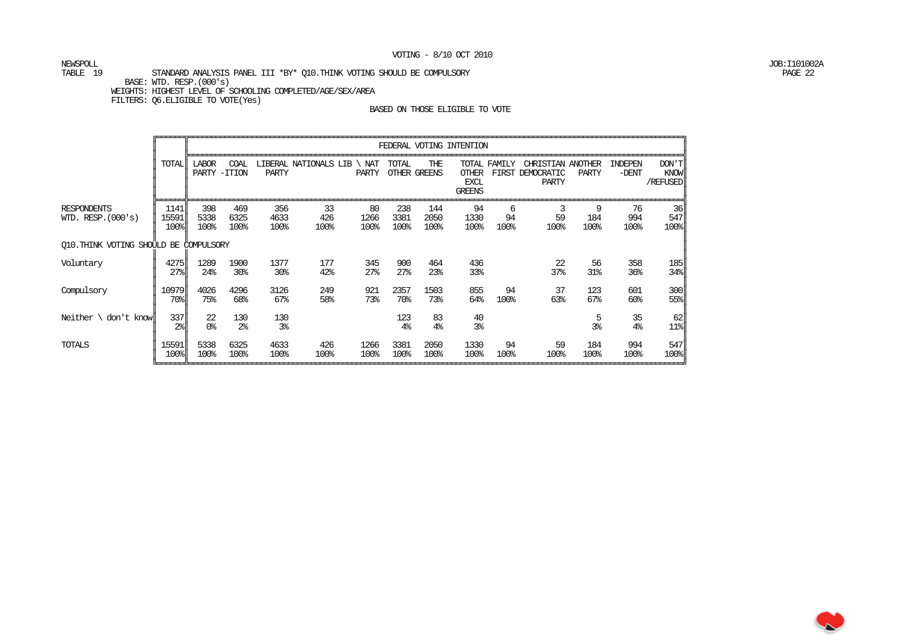NEWSPOLL JOB:I101002A

#### TABLE 19 STANDARD ANALYSIS PANEL III \*BY\* 010.THINK VOTING SHOULD BE COMPULSORY PAGE 22 BASE: WTD. RESP.(000's) WEIGHTS: HIGHEST LEVEL OF SCHOOLING COMPLETED/AGE/SEX/AREA FILTERS: Q6.ELIGIBLE TO VOTE(Yes)

|                                            |                                                  |                       |                       |                       |                       |                        |                        |                      | FEDERAL VOTING INTENTION                     |                 |                                                |                     |                      |                           |
|--------------------------------------------|--------------------------------------------------|-----------------------|-----------------------|-----------------------|-----------------------|------------------------|------------------------|----------------------|----------------------------------------------|-----------------|------------------------------------------------|---------------------|----------------------|---------------------------|
|                                            | TOTALI                                           | <b>LABOR</b><br>PARTY | COAL<br>$-TTION$      | PARTY                 | LIBERAL NATIONALS LIB | NAT<br>PARTY           | TOTAL                  | THE<br>OTHER GREENS  | <b>OTHER</b><br><b>EXCL</b><br><b>GREENS</b> | TOTAL FAMILY    | CHRISTIAN ANOTHER<br>FIRST DEMOCRATIC<br>PARTY | PARTY               | INDEPEN<br>$-DENT$   | DON'T<br>KNOW<br>/REFUSED |
| <b>RESPONDENTS</b><br>WID. RESP. $(000's)$ | 1141<br>15591<br>100%                            | 398<br>5338<br>100%   | 469<br>6325<br>100%   | 356<br>4633<br>100%   | 33<br>426<br>100%     | 80<br>1266<br>100%     | 238<br>3381<br>100%    | 144<br>2050<br>100%  | 94<br>1330<br>100%                           | 6<br>94<br>100% | 3<br>59<br>100%                                | 9<br>184<br>100%    | 76<br>994<br>100%    | 36<br>547<br>100%         |
| 010. THINK VOTING SHOULD BE COMPULSORY     |                                                  |                       |                       |                       |                       |                        |                        |                      |                                              |                 |                                                |                     |                      |                           |
| Voluntary                                  | 4275<br>$27$ <sup><math>\frac{1}{6}</math></sup> | 1289<br>24%           | 1900<br>30%           | 1377<br>30%           | 177<br>42%            | 345<br>27 <sup>8</sup> | 900<br>27 <sup>8</sup> | 464<br>23%           | 436<br>33%                                   |                 | 22<br>37%                                      | 56<br>31%           | 358<br>36%           | 185<br>$34\$              |
| Compulsory                                 | 10979<br>$70$ 위                                  | 4026<br>75%           | 4296<br>68%           | 3126<br>$67\%$        | 249<br>58%            | 921<br>73%             | 2357<br>70%            | 1503<br>73%          | 855<br>64%                                   | 94<br>100%      | 37<br>63%                                      | 123<br>67%          | 601<br>60%           | 300<br>55%                |
| Neither $\setminus$ don't know             | 337II<br>$2\$                                    | 22<br>0 <sup>8</sup>  | 130<br>2 <sup>°</sup> | 130<br>3 <sup>°</sup> |                       |                        | 123<br>4 <sup>°</sup>  | 83<br>4 <sup>°</sup> | 40<br>3 <sup>°</sup>                         |                 |                                                | 5<br>3 <sup>°</sup> | 35<br>4 <sup>°</sup> | 62<br>$11$ %              |
| TOTALS                                     | 15591<br>100%                                    | 5338<br>100%          | 6325<br>100%          | 4633<br>100%          | 426<br>100%           | 1266<br>100%           | 3381<br>100%           | 2050<br>100%         | 1330<br>100%                                 | 94<br>100%      | 59<br>100%                                     | 184<br>100%         | 994<br>100%          | 547<br>100%               |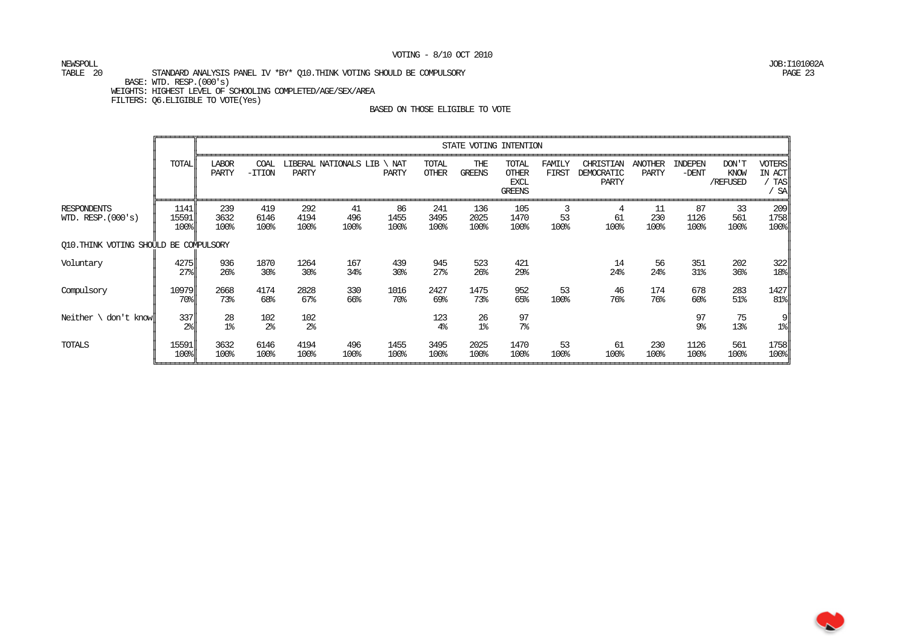# NEWSPOLL JOB:I101002A

#### TABLE 20 STANDARD ANALYSIS PANEL IV \*BY\* Q10.THINK VOTING SHOULD BE COMPULSORY PAGE 23 BASE: WTD. RESP.(000's) WEIGHTS: HIGHEST LEVEL OF SCHOOLING COMPLETED/AGE/SEX/AREA FILTERS: Q6.ELIGIBLE TO VOTE(Yes)

|                                            |                         |                       |                       |                       |                       |                    | STATE VOTING INTENTION |                        |                                                       |                 |                                  |                         |                    |                           |                                             |
|--------------------------------------------|-------------------------|-----------------------|-----------------------|-----------------------|-----------------------|--------------------|------------------------|------------------------|-------------------------------------------------------|-----------------|----------------------------------|-------------------------|--------------------|---------------------------|---------------------------------------------|
|                                            | TOTAL                   | <b>LABOR</b><br>PARTY | COAL<br>$-TTION$      | <b>PARTY</b>          | LIBERAL NATIONALS LIB | NAT<br>PARTY       | TOTAL<br><b>OTHER</b>  | THE<br><b>GREENS</b>   | TOTAL<br><b>OTHER</b><br><b>EXCL</b><br><b>GREENS</b> | FAMILY<br>FIRST | CHRISTIAN<br>DEMOCRATIC<br>PARTY | <b>ANOTHER</b><br>PARTY | INDEPEN<br>$-DENT$ | DON'T<br>KNOW<br>/REFUSED | <b>VOTERS</b><br>IN ACT<br><b>TAS</b><br>SA |
| <b>RESPONDENTS</b><br>WID. RESP. $(000's)$ | 1141<br>15591<br>100%   | 239<br>3632<br>100%   | 419<br>6146<br>100%   | 292<br>4194<br>100%   | 41<br>496<br>100%     | 86<br>1455<br>100% | 241<br>3495<br>100%    | 136<br>2025<br>100%    | 105<br>1470<br>100%                                   | 53<br>100%      | 4<br>61<br>100%                  | 11<br>230<br>100%       | 87<br>1126<br>100% | 33<br>561<br>100%         | 209<br>1758<br>$100$ <sup>s</sup>           |
| Q10. THINK VOTING SHOULD BE COMPULSORY     |                         |                       |                       |                       |                       |                    |                        |                        |                                                       |                 |                                  |                         |                    |                           |                                             |
| Voluntary                                  | 4275<br>27 <sup>8</sup> | 936<br>26%            | 1870<br>30%           | 1264<br>30%           | 167<br>34%            | 439<br>30%         | 945<br>27 <sup>8</sup> | 523<br>26 <sup>°</sup> | 421<br>29%                                            |                 | 14<br>24%                        | 56<br>24%               | 351<br>31%         | 202<br>36 <sup>8</sup>    | 322<br>$18$                                 |
| Compulsory                                 | 10979<br>70%            | 2668<br>73%           | 4174<br>68%           | 2828<br>67%           | 330<br>66%            | 1016<br>70%        | 2427<br>69%            | 1475<br>73%            | 952<br>65%                                            | 53<br>100%      | 46<br>76%                        | 174<br>76%              | 678<br>60%         | 283<br>$51\%$             | 1427<br>$81$ $\parallel$                    |
| Neither $\setminus$ don't know $\parallel$ | 337<br>$2\frac{6}{1}$   | 28<br>1 <sup>°</sup>  | 102<br>2 <sup>°</sup> | 102<br>2 <sup>°</sup> |                       |                    | 123<br>4 <sup>°</sup>  | 26<br>1 <sup>°</sup>   | 97<br>7 <sup>°</sup>                                  |                 |                                  |                         | 97<br>9%           | 75<br>13%                 | ∥9<br>$1$ $\ $                              |
| TOTALS                                     | 15591<br>100%           | 3632<br>100%          | 6146<br>100%          | 4194<br>100%          | 496<br>100%           | 1455<br>100%       | 3495<br>100%           | 2025<br>100%           | 1470<br>100%                                          | 53<br>100%      | 61<br>100%                       | 230<br>100%             | 1126<br>100%       | 561<br>100%               | 1758<br>$100$ <sup>s</sup>                  |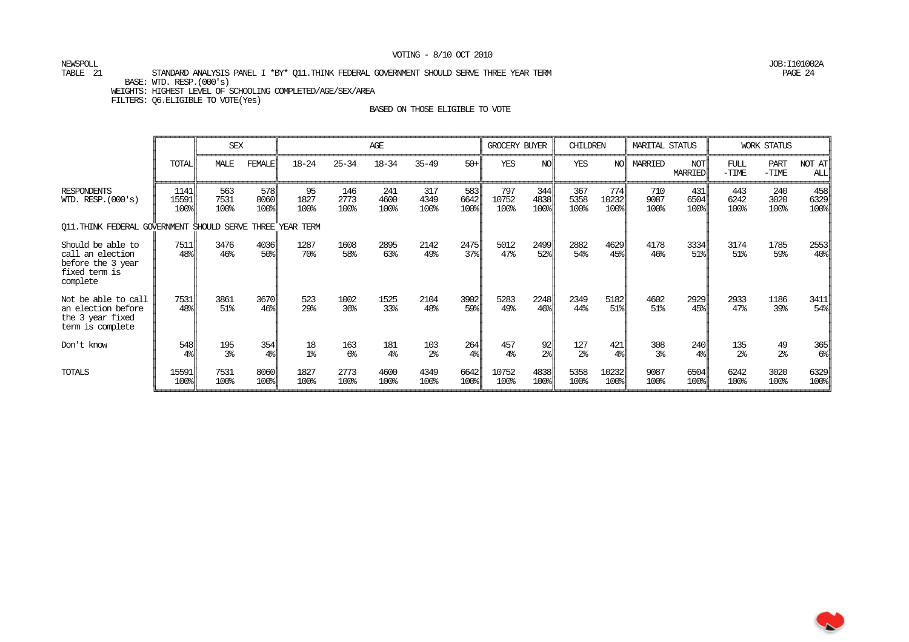NEWSPOLL JOB:I101002A

#### TABLE 21 STANDARD ANALYSIS PANEL I \*BY\* Q11.THINK FEDERAL GOVERNMENT SHOULD SERVE THREE YEAR TERM PAGE 24 BASE: WTD. RESP.(000's) WEIGHTS: HIGHEST LEVEL OF SCHOOLING COMPLETED/AGE/SEX/AREA

FILTERS: Q6.ELIGIBLE TO VOTE(Yes)

|                                                                                         |                       | <b>SEX</b>            |                         |                      | AGE                 |                       |                       |                                                  | GROCERY BUYER<br>CHILDREN |                                                   |                       |                                    | MARITAL STATUS        |                                    | <b>WORK STATUS</b>       |                        |                                   |
|-----------------------------------------------------------------------------------------|-----------------------|-----------------------|-------------------------|----------------------|---------------------|-----------------------|-----------------------|--------------------------------------------------|---------------------------|---------------------------------------------------|-----------------------|------------------------------------|-----------------------|------------------------------------|--------------------------|------------------------|-----------------------------------|
|                                                                                         | <b>TOTAL</b>          | MALE                  | <b>FEMALE</b>           | $18 - 24$            | $25 - 34$           | $18 - 34$             | $35 - 49$             | $50 +$                                           | <b>YES</b>                | NO                                                | <b>YES</b>            | NOL                                | MARRIED               | NOT <sub>I</sub><br><b>MARRIED</b> | FULL<br>$-\mathsf{TIME}$ | <b>PART</b><br>$-TIME$ | NOT AT<br>ALL                     |
| <b>RESPONDENTS</b><br>WID. RESP. $(000's)$                                              | 1141<br>15591<br>100% | 563<br>7531<br>100%   | 578<br>8060<br>100%     | 95<br>1827<br>100%   | 146<br>2773<br>100% | 241<br>4600<br>100%   | 317<br>4349<br>100%   | 583<br>6642<br>100%                              | 797<br>10752<br>100%      | 344<br>4838<br>100%                               | 367<br>5358<br>100%   | 774<br>10232<br>$100$ <sup>s</sup> | 710<br>9087<br>100%   | 431<br>6504<br>$100$ <sup>8</sup>  | 443<br>6242<br>100%      | 240<br>3020<br>100%    | 458<br>6329<br>$100$ <sup>s</sup> |
| O11. THINK FEDERAL GOVERNMENT SHOULD SERVE THREE YEAR TERM                              |                       |                       |                         |                      |                     |                       |                       |                                                  |                           |                                                   |                       |                                    |                       |                                    |                          |                        |                                   |
| Should be able to<br>call an election<br>before the 3 year<br>fixed term is<br>complete | 7511<br>48%           | 3476<br>46%           | 4036<br>50%             | 1287<br>70%          | 1608<br>58%         | 2895<br>63%           | 2142<br>49%           | 2475<br>$37$ <sup><math>\frac{1}{6}</math></sup> | 5012<br>47%               | 2499<br>52%                                       | 2882<br>54%           | 4629<br>45%                        | 4178<br>46%           | 3334<br>$51$ <sup>8</sup>          | 3174<br>51%              | 1785<br>59%            | 2553<br>$40$ <sup>s</sup>         |
| Not be able to call<br>an election before<br>the 3 year fixed<br>term is complete       | 7531<br>48%           | 3861<br>51%           | 3670<br>46 <sup>°</sup> | 523<br>29%           | 1002<br>36%         | 1525<br>33%           | 2104<br>48%           | 3902<br>$59$ l                                   | 5283<br>49%               | 2248<br>46 <sup>8</sup>                           | 2349<br>44%           | 5182<br>51%                        | 4602<br>51%           | 2929<br>$45$ ll                    | 2933<br>47%              | 1186<br>39%            | 3411<br>$54$ <sup>8</sup>         |
| Don't know                                                                              | 548<br>4 <sup>°</sup> | 195<br>3 <sup>°</sup> | 354<br>4 <sup>°</sup>   | 18<br>1 <sup>°</sup> | 163<br>$6\%$        | 181<br>4 <sup>°</sup> | 103<br>2 <sup>°</sup> | 264<br>$4\%$                                     | 457<br>4 <sup>°</sup>     | 92<br>$2\$                                        | 127<br>2 <sup>°</sup> | 421<br>$4\%$                       | 308<br>3 <sup>°</sup> | 240<br>$4\%$                       | 135<br>2 <sup>°</sup>    | 49<br>2 <sup>°</sup>   | 365<br>$6\%$                      |
| TOTALS                                                                                  | 15591<br>100%         | 7531<br>100%          | 8060<br>100%            | 1827<br>100%         | 2773<br>100%        | 4600<br>100%          | 4349<br>100%          | 6642<br>100%                                     | 10752<br>100%             | 4838<br>$100$ <sup><math>\frac{1}{2}</math></sup> | 5358<br>100%          | 10232<br>$100$ <sup>s</sup>        | 9087<br>100%          | 6504<br>$100$ <sup>s</sup>         | 6242<br>100%             | 3020<br>100%           | 6329<br>$100$ <sup>s</sup>        |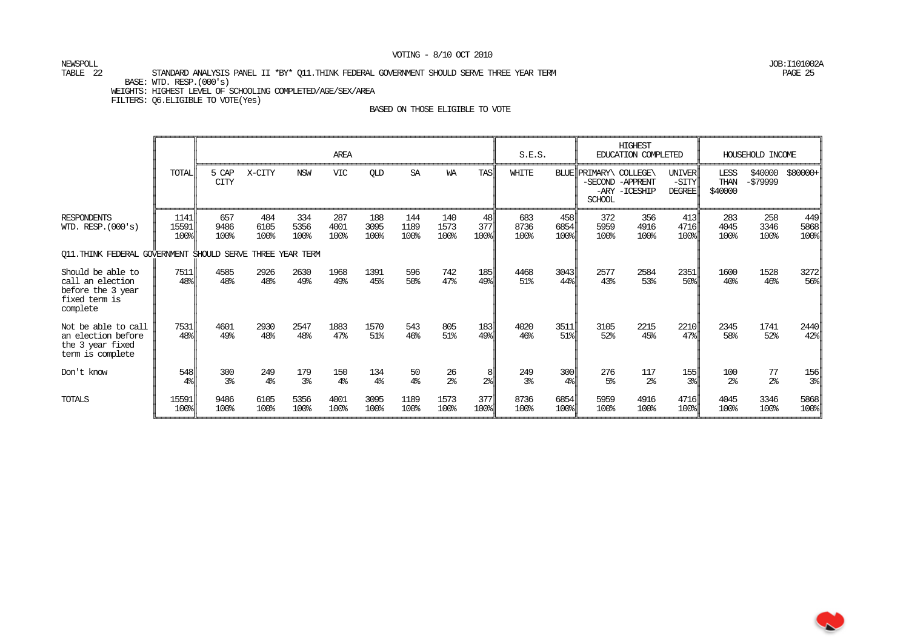NEWSPOLL JOB:I101002A

#### TABLE 22 STANDARD ANALYSIS PANEL II \*BY\* Q11.THINK FEDERAL GOVERNMENT SHOULD SERVE THREE YEAR TERM PAGE 25 BASE: WTD. RESP.(000's) WEIGHTS: HIGHEST LEVEL OF SCHOOLING COMPLETED/AGE/SEX/AREA

FILTERS: Q6.ELIGIBLE TO VOTE(Yes)

|                                                                                         |                       |                       |                       |                       | AREA                  |                       |                     |                      |                           | S.E.S.                |                       |                                         | <b>HIGHEST</b><br>EDUCATION COMPLETED |                                                  |                         | HOUSEHOLD INCOME     |                                                  |
|-----------------------------------------------------------------------------------------|-----------------------|-----------------------|-----------------------|-----------------------|-----------------------|-----------------------|---------------------|----------------------|---------------------------|-----------------------|-----------------------|-----------------------------------------|---------------------------------------|--------------------------------------------------|-------------------------|----------------------|--------------------------------------------------|
|                                                                                         | <b>TOTAL</b>          | 5 CAP<br><b>CITY</b>  | X-CITY                | <b>NSW</b>            | <b>VIC</b>            | <b>QLD</b>            | SA                  | <b>WA</b>            | <b>TAS</b>                | WHITE                 |                       | BLUE PRIMARY\ COLLEGE\<br><b>SCHOOL</b> | -SECOND -APPRENT<br>-ARY -ICESHIP     | UNIVER<br>-SITY<br><b>DEGREE</b>                 | LESS<br>THAN<br>\$40000 | \$40000<br>$-579999$ | \$80000+                                         |
| <b>RESPONDENTS</b><br>WID. RESP. (000's)                                                | 1141<br>15591<br>100% | 657<br>9486<br>100%   | 484<br>6105<br>100%   | 334<br>5356<br>100%   | 287<br>4001<br>100%   | 188<br>3095<br>100%   | 144<br>1189<br>100% | 140<br>1573<br>100%  | 48<br>377<br>100%         | 683<br>8736<br>100%   | 458<br>6854<br>100%   | 372<br>5959<br>100%                     | 356<br>4916<br>100%                   | 413<br>4716<br>$100$ <sup>s</sup>                | 283<br>4045<br>100%     | 258<br>3346<br>100%  | 449<br>5868<br>100%                              |
| Q11. THINK FEDERAL GOVERNMENT SHOULD SERVE THREE YEAR TERM                              |                       |                       |                       |                       |                       |                       |                     |                      |                           |                       |                       |                                         |                                       |                                                  |                         |                      |                                                  |
| Should be able to<br>call an election<br>before the 3 year<br>fixed term is<br>complete | 7511<br>48%           | 4585<br>48%           | 2926<br>48%           | 2630<br>49%           | 1968<br>49%           | 1391<br>45%           | 596<br>50%          | 742<br>47%           | 185<br>49%                | 4468<br>51%           | 3043<br>44%           | 2577<br>43%                             | 2584<br>53%                           | 2351<br>$50$ <sup><math>\frac{1}{2}</math></sup> | 1600<br>40 <sup>°</sup> | 1528<br>46%          | 3272<br>$56$ <sup><math>\frac{1}{2}</math></sup> |
| Not be able to call<br>an election before<br>the 3 year fixed<br>term is complete       | 7531<br>48%           | 4601<br>49%           | 2930<br>48%           | 2547<br>48%           | 1883<br>47%           | 1570<br>51%           | 543<br>46%          | 805<br>51%           | 183<br>49%                | 4020<br>46%           | 3511<br>51%           | 3105<br>52%                             | 2215<br>45%                           | 2210<br>$47$ %                                   | 2345<br>58%             | 1741<br>52%          | 2440<br>$42$ <sup>8</sup>                        |
| Don't know                                                                              | 548<br>4 <sup>°</sup> | 300<br>3 <sup>°</sup> | 249<br>4 <sup>°</sup> | 179<br>3 <sup>°</sup> | 150<br>4 <sup>°</sup> | 134<br>4 <sup>°</sup> | 50<br>4%            | 26<br>2 <sup>°</sup> | 8<br>$2\$                 | 249<br>3 <sup>°</sup> | 300<br>4 <sup>°</sup> | 276<br>5 <sup>°</sup>                   | 117<br>2 <sup>°</sup>                 | 155<br>3 <sup>°</sup>                            | 100<br>2 <sup>°</sup>   | 77<br>$2\frac{6}{5}$ | 156<br>$3\%$                                     |
| TOTALS                                                                                  | 15591<br>100%         | 9486<br>100%          | 6105<br>100%          | 5356<br>100%          | 4001<br>100%          | 3095<br>100%          | 1189<br>100%        | 1573<br>100%         | 377<br>$100$ <sup>s</sup> | 8736<br>100%          | 6854<br>100%          | 5959<br>100%                            | 4916<br>100%                          | 4716<br>100%                                     | 4045<br>100%            | 3346<br>100%         | 5868<br>$100$ <sup>s</sup>                       |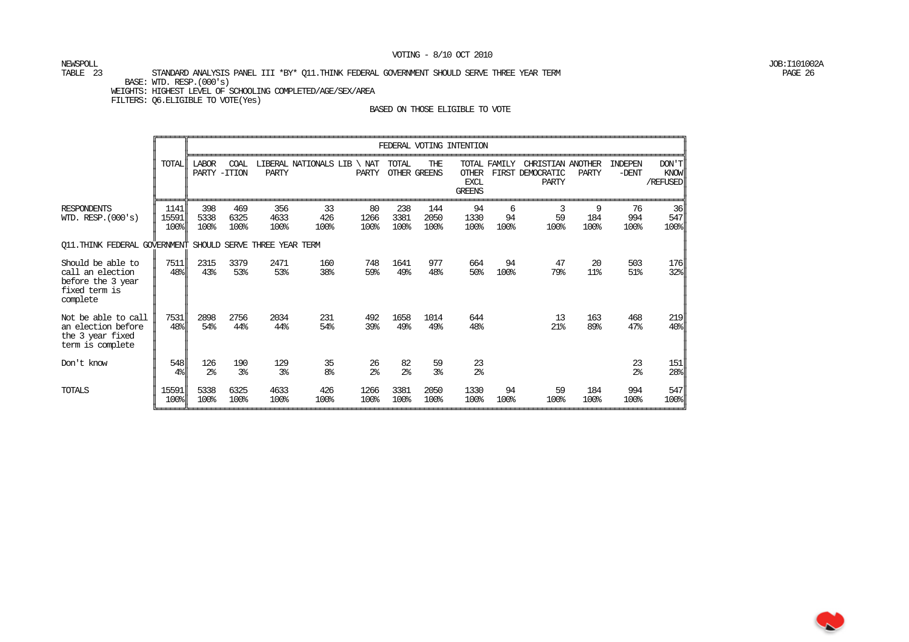NEWSPOLL JOB:I101002A

#### TABLE 23 STANDARD ANALYSIS PANEL III \*BY\* Q11.THINK FEDERAL GOVERNMENT SHOULD SERVE THREE YEAR TERM PAGE 26 BASE: WTD. RESP.(000's) WEIGHTS: HIGHEST LEVEL OF SCHOOLING COMPLETED/AGE/SEX/AREA

FILTERS: Q6.ELIGIBLE TO VOTE(Yes)

|                                                                                         |                       |                               | FEDERAL VOTING INTENTION |                       |                             |                      |                      |                            |                                                              |                 |                                                |                  |                           |                           |
|-----------------------------------------------------------------------------------------|-----------------------|-------------------------------|--------------------------|-----------------------|-----------------------------|----------------------|----------------------|----------------------------|--------------------------------------------------------------|-----------------|------------------------------------------------|------------------|---------------------------|---------------------------|
|                                                                                         | TOTAL                 | <b>LABOR</b><br>PARTY - ITION | COAL                     | PARTY                 | LIBERAL NATIONALS LIB \ NAT | PARTY                | TOTAL                | THE<br><b>OTHER GREENS</b> | TOTAL FAMILY<br><b>OTHER</b><br><b>EXCL</b><br><b>GREENS</b> |                 | CHRISTIAN ANOTHER<br>FIRST DEMOCRATIC<br>PARTY | PARTY            | <b>INDEPEN</b><br>$-DENT$ | DON'T<br>KNOW<br>/REFUSED |
| <b>RESPONDENTS</b><br>WID. RESP. (000's)                                                | 1141<br>15591<br>100% | 398<br>5338<br>100%           | 469<br>6325<br>100%      | 356<br>4633<br>100%   | 33<br>426<br>100%           | 80<br>1266<br>100%   | 238<br>3381<br>100%  | 144<br>2050<br>100%        | 94<br>1330<br>100%                                           | 6<br>94<br>100% | 3<br>59<br>100%                                | 9<br>184<br>100% | 76<br>994<br>100%         | 36<br>547<br>100%         |
| Q11. THINK FEDERAL GOVERNMENT<br>SHOULD SERVE THREE YEAR TERM                           |                       |                               |                          |                       |                             |                      |                      |                            |                                                              |                 |                                                |                  |                           |                           |
| Should be able to<br>call an election<br>before the 3 year<br>fixed term is<br>complete | 7511<br>48%           | 2315<br>43%                   | 3379<br>53%              | 2471<br>53%           | 160<br>38%                  | 748<br>59%           | 1641<br>49%          | 977<br>48%                 | 664<br>50%                                                   | 94<br>100%      | 47<br>79%                                      | 20<br>11%        | 503<br>51%                | 176<br>32%                |
| Not be able to call<br>an election before<br>the 3 year fixed<br>term is complete       | 7531<br>48%           | 2898<br>54%                   | 2756<br>44%              | 2034<br>44%           | 231<br>54%                  | 492<br>39%           | 1658<br>49%          | 1014<br>49%                | 644<br>48%                                                   |                 | 13<br>21%                                      | 163<br>89%       | 468<br>47%                | 219<br>40%                |
| Don't know                                                                              | 548<br>4 <sup>°</sup> | 126<br>2 <sup>°</sup>         | 190<br>3 <sup>8</sup>    | 129<br>3 <sup>°</sup> | 35<br>8 <sup>°</sup>        | 26<br>2 <sup>°</sup> | 82<br>2 <sup>°</sup> | 59<br>3 <sup>8</sup>       | 23<br>2 <sup>°</sup>                                         |                 |                                                |                  | 23<br>2 <sup>°</sup>      | 151<br>28%                |
| TOTALS                                                                                  | 15591<br>100%         | 5338<br>100%                  | 6325<br>100%             | 4633<br>100%          | 426<br>100%                 | 1266<br>100%         | 3381<br>100%         | 2050<br>100%               | 1330<br>100%                                                 | 94<br>100%      | 59<br>100%                                     | 184<br>100%      | 994<br>100%               | 547<br>100%               |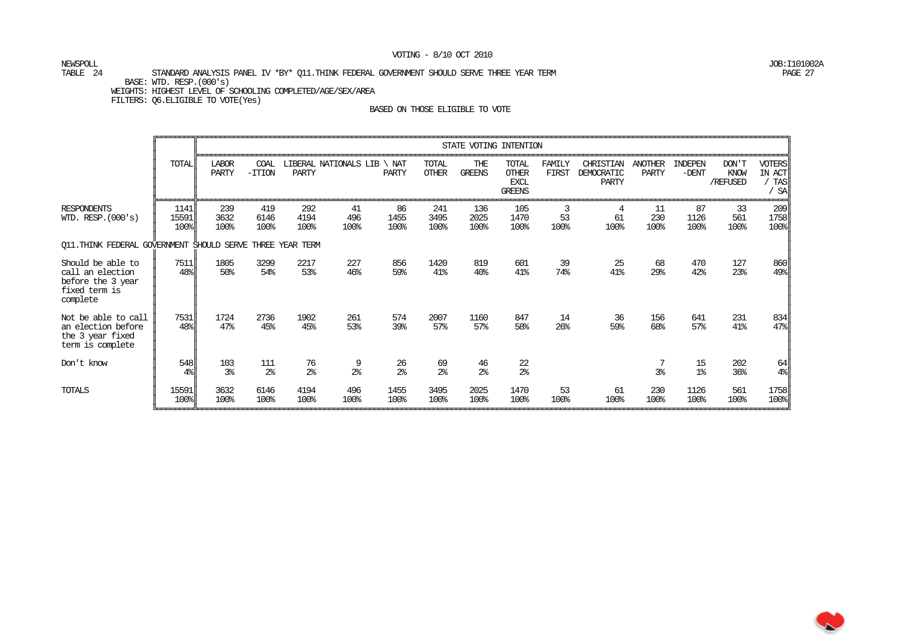NEWSPOLL JOB:I101002A

#### TABLE 24 STANDARD ANALYSIS PANEL IV \*BY\* Q11.THINK FEDERAL GOVERNMENT SHOULD SERVE THREE YEAR TERM PAGE 27 BASE: WTD. RESP.(000's) WEIGHTS: HIGHEST LEVEL OF SCHOOLING COMPLETED/AGE/SEX/AREA

FILTERS: Q6.ELIGIBLE TO VOTE(Yes)

|                                                                                         |                                                  | STATE VOTING INTENTION |                       |                      |                       |                      |                       |                      |                                                       |                 |                                  |                         |                      |                           |                                                   |
|-----------------------------------------------------------------------------------------|--------------------------------------------------|------------------------|-----------------------|----------------------|-----------------------|----------------------|-----------------------|----------------------|-------------------------------------------------------|-----------------|----------------------------------|-------------------------|----------------------|---------------------------|---------------------------------------------------|
|                                                                                         | <b>TOTAL</b>                                     | <b>LABOR</b><br>PARTY  | COAL<br>$-TTION$      | <b>PARTY</b>         | LIBERAL NATIONALS LIB | NAT<br><b>PARTY</b>  | TOTAL<br><b>OTHER</b> | THE<br><b>GREENS</b> | TOTAL<br><b>OTHER</b><br><b>EXCL</b><br><b>GREENS</b> | FAMILY<br>FIRST | CHRISTIAN<br>DEMOCRATIC<br>PARTY | <b>ANOTHER</b><br>PARTY | INDEPEN<br>$-DENT$   | DON'T<br>KNOW<br>/REFUSED | <b>VOTERS</b><br>IN ACT<br><b>TAS</b><br>/ SA     |
| <b>RESPONDENTS</b><br>WID. RESP. $(000's)$                                              | 1141<br>15591<br>100%                            | 239<br>3632<br>100%    | 419<br>6146<br>100%   | 292<br>4194<br>100%  | 41<br>496<br>100%     | 86<br>1455<br>100%   | 241<br>3495<br>100%   | 136<br>2025<br>100%  | 105<br>1470<br>100%                                   | 3<br>53<br>100% | 4<br>61<br>100%                  | 11<br>230<br>100%       | 87<br>1126<br>100%   | 33<br>561<br>100%         | 209<br>1758<br>100%                               |
| Q11. THINK FEDERAL GOVERNMENT SHOULD SERVE THREE YEAR TERM                              |                                                  |                        |                       |                      |                       |                      |                       |                      |                                                       |                 |                                  |                         |                      |                           |                                                   |
| Should be able to<br>call an election<br>before the 3 year<br>fixed term is<br>complete | 7511<br>$48$ <sup><math>\frac{8}{3}</math></sup> | 1805<br>$50\%$         | 3299<br>54%           | 2217<br>53%          | 227<br>46%            | 856<br>59%           | 1420<br>41%           | 819<br>40%           | 601<br>41%                                            | 39<br>74%       | 25<br>41%                        | 68<br>29%               | 470<br>42%           | 127<br>23%                | 860<br>49%                                        |
| Not be able to call<br>an election before<br>the 3 year fixed<br>term is complete       | 7531<br>$48$ <sup><math>\frac{8}{3}</math></sup> | 1724<br>47%            | 2736<br>45%           | 1902<br>45%          | 261<br>53%            | 574<br>39%           | 2007<br>57%           | 1160<br>57%          | 847<br>58%                                            | 14<br>26%       | 36<br>59%                        | 156<br>68%              | 641<br>57%           | 231<br>41%                | 834<br>47%                                        |
| Don't know                                                                              | 548<br>$4\%$                                     | 103<br>3 <sup>8</sup>  | 111<br>2 <sup>°</sup> | 76<br>2 <sup>°</sup> | 9<br>2 <sup>°</sup>   | 26<br>2 <sup>°</sup> | 69<br>2 <sup>°</sup>  | 46<br>2 <sup>°</sup> | 22<br>2 <sup>°</sup>                                  |                 |                                  | 7<br>3%                 | 15<br>1 <sup>°</sup> | 202<br>36%                | 64<br>4 <sup>°</sup>                              |
| TOTALS                                                                                  | 15591<br>100%                                    | 3632<br>100%           | 6146<br>100%          | 4194<br>100%         | 496<br>100%           | 1455<br>100%         | 3495<br>100%          | 2025<br>100%         | 1470<br>100%                                          | 53<br>100%      | 61<br>100%                       | 230<br>100%             | 1126<br>100%         | 561<br>100%               | 1758<br>$100$ <sup><math>\frac{1}{2}</math></sup> |